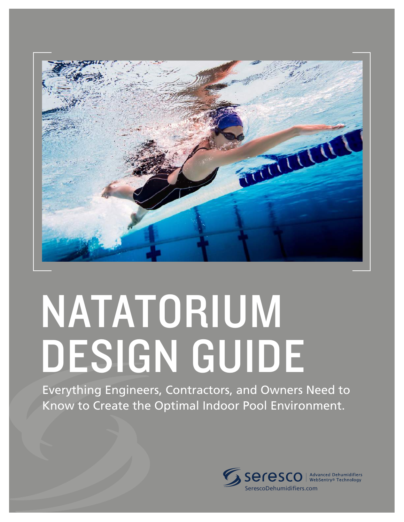

# NATATORIUM DESIGN GUIDE

Everything Engineers, Contractors, and Owners Need to Know to Create the Optimal Indoor Pool Environment.

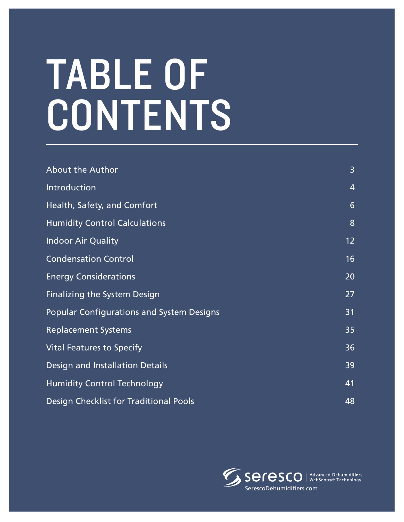# TABLE OF **CONTENTS**

| <b>About the Author</b>                          | 3               |
|--------------------------------------------------|-----------------|
| Introduction                                     | $\overline{4}$  |
| Health, Safety, and Comfort                      | 6               |
| <b>Humidity Control Calculations</b>             | 8               |
| <b>Indoor Air Quality</b>                        | 12 <sub>2</sub> |
| <b>Condensation Control</b>                      | 16              |
| <b>Energy Considerations</b>                     | 20              |
| <b>Finalizing the System Design</b>              | 27              |
| <b>Popular Configurations and System Designs</b> | 31              |
| <b>Replacement Systems</b>                       | 35              |
| <b>Vital Features to Specify</b>                 | 36              |
| Design and Installation Details                  | 39              |
| <b>Humidity Control Technology</b>               | 41              |
| Design Checklist for Traditional Pools           | 48              |

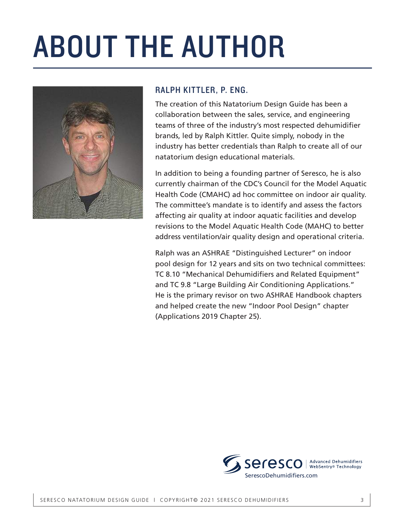## ABOUT THE AUTHOR



#### RALPH KITTLER, P. ENG.

The creation of this Natatorium Design Guide has been a collaboration between the sales, service, and engineering teams of three of the industry's most respected dehumidifier brands, led by Ralph Kittler. Quite simply, nobody in the industry has better credentials than Ralph to create all of our natatorium design educational materials.

In addition to being a founding partner of Seresco, he is also currently chairman of the CDC's Council for the Model Aquatic Health Code (CMAHC) ad hoc committee on indoor air quality. The committee's mandate is to identify and assess the factors affecting air quality at indoor aquatic facilities and develop revisions to the Model Aquatic Health Code (MAHC) to better address ventilation/air quality design and operational criteria.

Ralph was an ASHRAE "Distinguished Lecturer" on indoor pool design for 12 years and sits on two technical committees: TC 8.10 "Mechanical Dehumidifiers and Related Equipment" and TC 9.8 "Large Building Air Conditioning Applications." He is the primary revisor on two ASHRAE Handbook chapters and helped create the new "Indoor Pool Design" chapter (Applications 2019 Chapter 25).

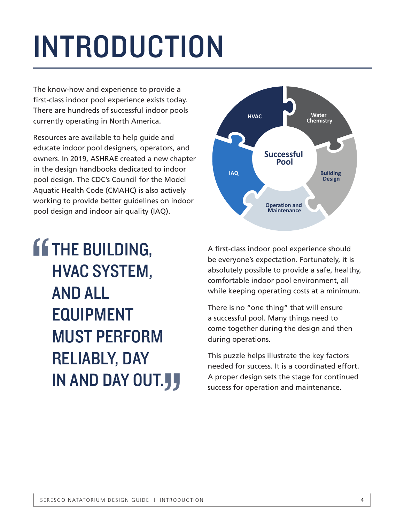## INTRODUCTION

The know-how and experience to provide a first-class indoor pool experience exists today. There are hundreds of successful indoor pools currently operating in North America.

Resources are available to help guide and educate indoor pool designers, operators, and owners. In 2019, ASHRAE created a new chapter in the design handbooks dedicated to indoor pool design. The CDC's Council for the Model Aquatic Health Code (CMAHC) is also actively working to provide better guidelines on indoor pool design and indoor air quality (IAQ).

**If THE BUILDING,** HVAC SYSTEM, AND ALL EQUIPMENT MUST PERFORM RELIABLY, DAY IN AND DAY OUT. " "



A first-class indoor pool experience should be everyone's expectation. Fortunately, it is absolutely possible to provide a safe, healthy, comfortable indoor pool environment, all while keeping operating costs at a minimum.

There is no "one thing" that will ensure a successful pool. Many things need to come together during the design and then during operations.

This puzzle helps illustrate the key factors needed for success. It is a coordinated effort. A proper design sets the stage for continued success for operation and maintenance.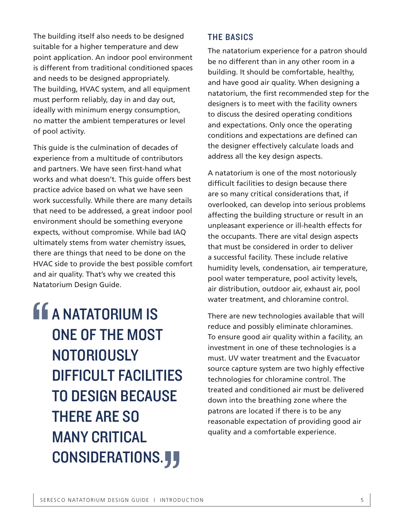The building itself also needs to be designed suitable for a higher temperature and dew point application. An indoor pool environment is different from traditional conditioned spaces and needs to be designed appropriately. The building, HVAC system, and all equipment must perform reliably, day in and day out, ideally with minimum energy consumption, no matter the ambient temperatures or level of pool activity.

This guide is the culmination of decades of experience from a multitude of contributors and partners. We have seen first-hand what works and what doesn't. This guide offers best practice advice based on what we have seen work successfully. While there are many details that need to be addressed, a great indoor pool environment should be something everyone expects, without compromise. While bad IAQ ultimately stems from water chemistry issues, there are things that need to be done on the HVAC side to provide the best possible comfort and air quality. That's why we created this Natatorium Design Guide.

**A MATATORIUM IS** ONE OF THE MOST **NOTORIOUSLY** DIFFICULT FACILITIES TO DESIGN BECAUSE THERE ARE SO MANY CRITICAL CONSIDERATIONS. **J** " **JJ** 

#### THE BASICS

The natatorium experience for a patron should be no different than in any other room in a building. It should be comfortable, healthy, and have good air quality. When designing a natatorium, the first recommended step for the designers is to meet with the facility owners to discuss the desired operating conditions and expectations. Only once the operating conditions and expectations are defined can the designer effectively calculate loads and address all the key design aspects.

A natatorium is one of the most notoriously difficult facilities to design because there are so many critical considerations that, if overlooked, can develop into serious problems affecting the building structure or result in an unpleasant experience or ill-health effects for the occupants. There are vital design aspects that must be considered in order to deliver a successful facility. These include relative humidity levels, condensation, air temperature, pool water temperature, pool activity levels, air distribution, outdoor air, exhaust air, pool water treatment, and chloramine control.

There are new technologies available that will reduce and possibly eliminate chloramines. To ensure good air quality within a facility, an investment in one of these technologies is a must. UV water treatment and the Evacuator source capture system are two highly effective technologies for chloramine control. The treated and conditioned air must be delivered down into the breathing zone where the patrons are located if there is to be any reasonable expectation of providing good air quality and a comfortable experience.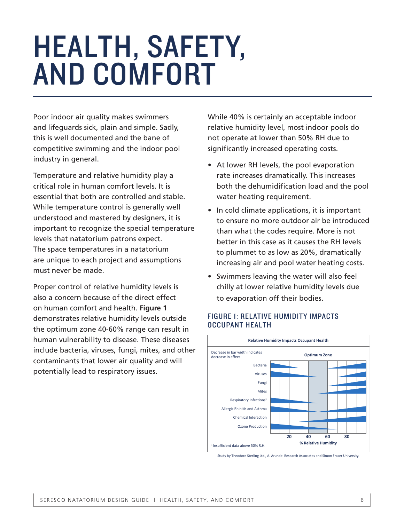## HEALTH, SAFETY, AND COMFORT

Poor indoor air quality makes swimmers and lifeguards sick, plain and simple. Sadly, this is well documented and the bane of competitive swimming and the indoor pool industry in general.

Temperature and relative humidity play a critical role in human comfort levels. It is essential that both are controlled and stable. While temperature control is generally well understood and mastered by designers, it is important to recognize the special temperature levels that natatorium patrons expect. The space temperatures in a natatorium are unique to each project and assumptions must never be made.

Proper control of relative humidity levels is also a concern because of the direct effect on human comfort and health. **Figure 1** demonstrates relative humidity levels outside the optimum zone 40-60% range can result in human vulnerability to disease. These diseases include bacteria, viruses, fungi, mites, and other contaminants that lower air quality and will potentially lead to respiratory issues.

While 40% is certainly an acceptable indoor relative humidity level, most indoor pools do not operate at lower than 50% RH due to significantly increased operating costs.

- At lower RH levels, the pool evaporation rate increases dramatically. This increases both the dehumidification load and the pool water heating requirement.
- In cold climate applications, it is important to ensure no more outdoor air be introduced than what the codes require. More is not better in this case as it causes the RH levels to plummet to as low as 20%, dramatically increasing air and pool water heating costs.
- Swimmers leaving the water will also feel chilly at lower relative humidity levels due to evaporation off their bodies.

#### FIGURE 1: RELATIVE HUMIDITY IMPACTS OCCUPANT HEALTH



Study by Theodore Sterling Ltd., A. Arundel Research Associates and Simon Fraser University.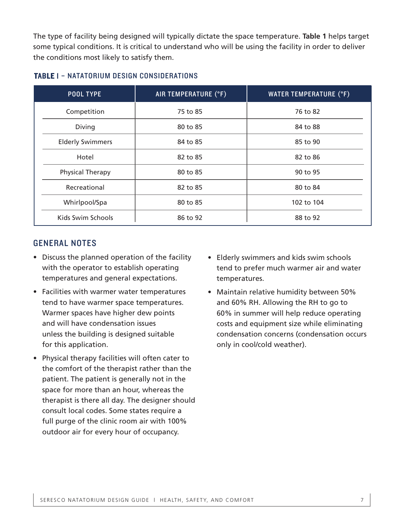The type of facility being designed will typically dictate the space temperature. **Table 1** helps target some typical conditions. It is critical to understand who will be using the facility in order to deliver the conditions most likely to satisfy them.

| <b>POOL TYPE</b>        | AIR TEMPERATURE (°F) | <b>WATER TEMPERATURE (°F)</b> |
|-------------------------|----------------------|-------------------------------|
| Competition             | 75 to 85             | 76 to 82                      |
| Diving                  | 80 to 85             | 84 to 88                      |
| <b>Elderly Swimmers</b> | 84 to 85             | 85 to 90                      |
| Hotel                   | 82 to 85             | 82 to 86                      |
| <b>Physical Therapy</b> | 80 to 85             | 90 to 95                      |
| Recreational            | 82 to 85             | 80 to 84                      |
| Whirlpool/Spa           | 80 to 85             | 102 to 104                    |
| Kids Swim Schools       | 86 to 92             | 88 to 92                      |

#### TABLE 1 – NATATORIUM DESIGN CONSIDERATIONS

#### GENERAL NOTES

- Discuss the planned operation of the facility with the operator to establish operating temperatures and general expectations.
- Facilities with warmer water temperatures tend to have warmer space temperatures. Warmer spaces have higher dew points and will have condensation issues unless the building is designed suitable for this application.
- Physical therapy facilities will often cater to the comfort of the therapist rather than the patient. The patient is generally not in the space for more than an hour, whereas the therapist is there all day. The designer should consult local codes. Some states require a full purge of the clinic room air with 100% outdoor air for every hour of occupancy.
- Elderly swimmers and kids swim schools tend to prefer much warmer air and water temperatures.
- Maintain relative humidity between 50% and 60% RH. Allowing the RH to go to 60% in summer will help reduce operating costs and equipment size while eliminating condensation concerns (condensation occurs only in cool/cold weather).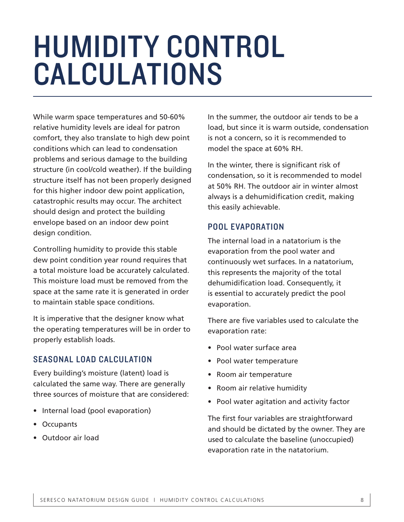## HUMIDITY CONTROL CALCULATIONS

While warm space temperatures and 50-60% relative humidity levels are ideal for patron comfort, they also translate to high dew point conditions which can lead to condensation problems and serious damage to the building structure (in cool/cold weather). If the building structure itself has not been properly designed for this higher indoor dew point application, catastrophic results may occur. The architect should design and protect the building envelope based on an indoor dew point design condition.

Controlling humidity to provide this stable dew point condition year round requires that a total moisture load be accurately calculated. This moisture load must be removed from the space at the same rate it is generated in order to maintain stable space conditions.

It is imperative that the designer know what the operating temperatures will be in order to properly establish loads.

#### SEASONAL LOAD CALCULATION

Every building's moisture (latent) load is calculated the same way. There are generally three sources of moisture that are considered:

- Internal load (pool evaporation)
- Occupants
- Outdoor air load

In the summer, the outdoor air tends to be a load, but since it is warm outside, condensation is not a concern, so it is recommended to model the space at 60% RH.

In the winter, there is significant risk of condensation, so it is recommended to model at 50% RH. The outdoor air in winter almost always is a dehumidification credit, making this easily achievable.

#### POOL EVAPORATION

The internal load in a natatorium is the evaporation from the pool water and continuously wet surfaces. In a natatorium, this represents the majority of the total dehumidification load. Consequently, it is essential to accurately predict the pool evaporation.

There are five variables used to calculate the evaporation rate:

- Pool water surface area
- Pool water temperature
- Room air temperature
- Room air relative humidity
- Pool water agitation and activity factor

The first four variables are straightforward and should be dictated by the owner. They are used to calculate the baseline (unoccupied) evaporation rate in the natatorium.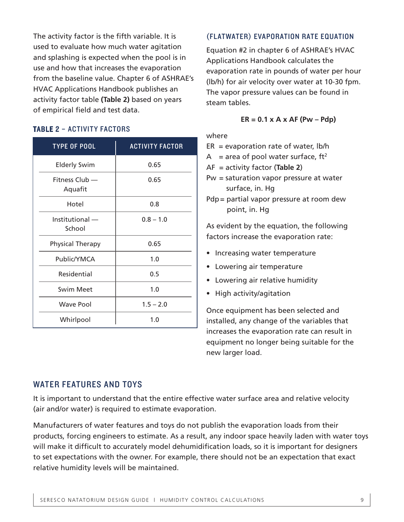The activity factor is the fifth variable. It is used to evaluate how much water agitation and splashing is expected when the pool is in use and how that increases the evaporation from the baseline value. Chapter 6 of ASHRAE's HVAC Applications Handbook publishes an activity factor table **(Table 2)** based on years of empirical field and test data.

#### TABLE 2 – ACTIVITY FACTORS

| <b>TYPE OF POOL</b>       | <b>ACTIVITY FACTOR</b> |
|---------------------------|------------------------|
| <b>Elderly Swim</b>       | 0.65                   |
| Fitness Club —<br>Aquafit | 0.65                   |
| Hotel                     | 0.8                    |
| Institutional -<br>School | $0.8 - 1.0$            |
| <b>Physical Therapy</b>   | 0.65                   |
| Public/YMCA               | 1.0                    |
| Residential               | 0.5                    |
| <b>Swim Meet</b>          | 1.0                    |
| Wave Pool                 | $1.5 - 2.0$            |
| Whirlpool                 | 1.0                    |

#### (FLATWATER) EVAPORATION RATE EQUATION

Equation #2 in chapter 6 of ASHRAE's HVAC Applications Handbook calculates the evaporation rate in pounds of water per hour (lb/h) for air velocity over water at 10-30 fpm. The vapor pressure values can be found in steam tables.

#### **ER = 0.1 x A x AF (Pw – Pdp)**

#### where

- $ER = evaporation rate of water, lb/h$
- A = area of pool water surface,  $ft^2$
- AF = activity factor (**Table 2**)
- Pw = saturation vapor pressure at water surface, in. Hg
- Pdp = partial vapor pressure at room dew point, in. Hg

As evident by the equation, the following factors increase the evaporation rate:

- Increasing water temperature
- Lowering air temperature
- Lowering air relative humidity
- High activity/agitation

Once equipment has been selected and installed, any change of the variables that increases the evaporation rate can result in equipment no longer being suitable for the new larger load.

#### WATER FEATURES AND TOYS

It is important to understand that the entire effective water surface area and relative velocity (air and/or water) is required to estimate evaporation.

Manufacturers of water features and toys do not publish the evaporation loads from their products, forcing engineers to estimate. As a result, any indoor space heavily laden with water toys will make it difficult to accurately model dehumidification loads, so it is important for designers to set expectations with the owner. For example, there should not be an expectation that exact relative humidity levels will be maintained.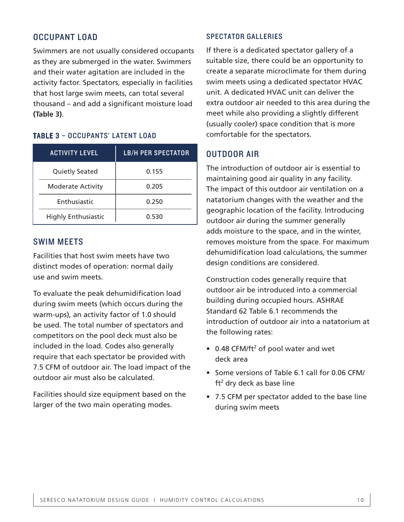#### OCCUPANT LOAD

Swimmers are not usually considered occupants as they are submerged in the water. Swimmers and their water agitation are included in the activity factor. Spectators, especially in facilities that host large swim meets, can total several thousand – and add a significant moisture load **(Table 3)**.

#### TABLE 3 – OCCUPANTS' LATENT LOAD

| <b>ACTIVITY LEVEL</b> |                            | <b>LB/H PER SPECTATOR</b> |
|-----------------------|----------------------------|---------------------------|
|                       | <b>Quietly Seated</b>      | 0.155                     |
|                       | <b>Moderate Activity</b>   | 0.205                     |
|                       | Enthusiastic               | 0.250                     |
|                       | <b>Highly Enthusiastic</b> | 0.530                     |

#### SWIM MEETS

Facilities that host swim meets have two distinct modes of operation: normal daily use and swim meets.

To evaluate the peak dehumidification load during swim meets (which occurs during the warm-ups), an activity factor of 1.0 should be used. The total number of spectators and competitors on the pool deck must also be included in the load. Codes also generally require that each spectator be provided with 7.5 CFM of outdoor air. The load impact of the outdoor air must also be calculated.

Facilities should size equipment based on the larger of the two main operating modes.

#### SPECTATOR GALLERIES

If there is a dedicated spectator gallery of a suitable size, there could be an opportunity to create a separate microclimate for them during swim meets using a dedicated spectator HVAC unit. A dedicated HVAC unit can deliver the extra outdoor air needed to this area during the meet while also providing a slightly different (usually cooler) space condition that is more comfortable for the spectators.

#### OUTDOOR AIR

The introduction of outdoor air is essential to maintaining good air quality in any facility. The impact of this outdoor air ventilation on a natatorium changes with the weather and the geographic location of the facility. Introducing outdoor air during the summer generally adds moisture to the space, and in the winter, removes moisture from the space. For maximum dehumidification load calculations, the summer design conditions are considered.

Construction codes generally require that outdoor air be introduced into a commercial building during occupied hours. ASHRAE Standard 62 Table 6.1 recommends the introduction of outdoor air into a natatorium at the following rates:

- $\bullet$  0.48 CFM/ft<sup>2</sup> of pool water and wet deck area
- Some versions of Table 6.1 call for 0.06 CFM/ ft<sup>2</sup> dry deck as base line
- 7.5 CFM per spectator added to the base line during swim meets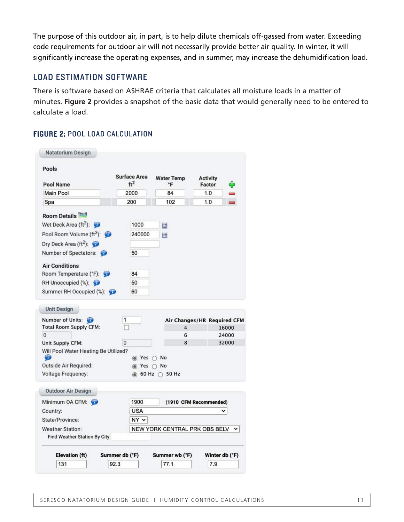The purpose of this outdoor air, in part, is to help dilute chemicals off-gassed from water. Exceeding code requirements for outdoor air will not necessarily provide better air quality. In winter, it will significantly increase the operating expenses, and in summer, may increase the dehumidification load.

#### LOAD ESTIMATION SOFTWARE

There is software based on ASHRAE criteria that calculates all moisture loads in a matter of minutes. **Figure 2** provides a snapshot of the basic data that would generally need to be entered to calculate a load.

#### FIGURE 2: POOL LOAD CALCULATION

| Pools                                                     | <b>Surface Area</b> | <b>Water Temp</b>                                            | <b>Activity</b>             |                |
|-----------------------------------------------------------|---------------------|--------------------------------------------------------------|-----------------------------|----------------|
| <b>Pool Name</b>                                          | ft <sup>2</sup>     | °F                                                           | Factor                      |                |
| Main Pool                                                 | 2000                | 84                                                           | 1.0                         |                |
| Spa                                                       | 200                 | 102                                                          | 1.0                         |                |
| <b>Room Details</b>                                       |                     |                                                              |                             |                |
| Wet Deck Area (ft <sup>2</sup> ): $\bullet$               | 1000                | 蠠                                                            |                             |                |
| Pool Room Volume (ft <sup>3</sup> ): $\bullet$            | 240000              | 圏                                                            |                             |                |
| Dry Deck Area ( $ft^2$ ):                                 |                     |                                                              |                             |                |
| Number of Spectators:                                     | 50                  |                                                              |                             |                |
| <b>Air Conditions</b>                                     |                     |                                                              |                             |                |
| Room Temperature (°F):                                    | 84                  |                                                              |                             |                |
| RH Unoccupied (%):                                        | 50                  |                                                              |                             |                |
| Summer RH Occupied (%):                                   | 60                  |                                                              |                             |                |
| <b>Unit Design</b><br>Number of Units:                    | 1                   |                                                              | Air Changes/HR Required CFM |                |
| <b>Total Room Supply CFM:</b><br>$\Omega$                 |                     | 4<br>6                                                       |                             | 16000<br>24000 |
| Unit Supply CFM:                                          | $\Omega$            | 8                                                            |                             | 32000          |
| Will Pool Water Heating Be Utilized?<br>œ                 |                     | ◉ Yes ∩ No                                                   |                             |                |
| <b>Outside Air Required:</b><br><b>Voltage Frequency:</b> |                     | s Yes ∩ No<br>$\circledcirc$ 60 Hz $\circlearrowright$ 50 Hz |                             |                |
| <b>Outdoor Air Design</b>                                 |                     |                                                              |                             |                |
| Minimum OA CFM:                                           | 1900                |                                                              | (1910 CFM Recommended)      |                |
| Country:                                                  | <b>USA</b>          |                                                              |                             |                |
| State/Province:                                           | $NY \vee$           |                                                              |                             |                |
| <b>Weather Station:</b>                                   |                     | NEW YORK CENTRAL PRK OBS BELV                                |                             |                |
| Find Weather Station By City                              |                     |                                                              |                             |                |
| Elevation (ft)                                            | Summer db (°F)      | Summer wb (°F)                                               |                             | Winter db (°F) |
|                                                           |                     |                                                              |                             |                |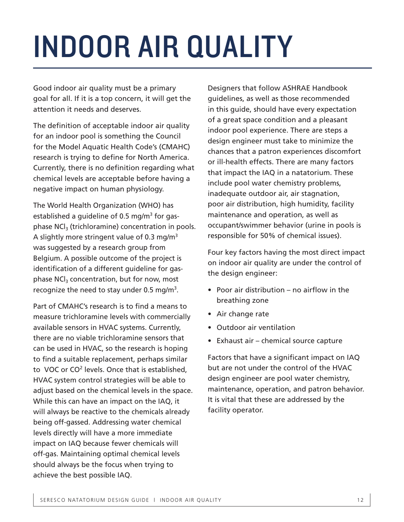# INDOOR AIR QUALITY

Good indoor air quality must be a primary goal for all. If it is a top concern, it will get the attention it needs and deserves.

The definition of acceptable indoor air quality for an indoor pool is something the Council for the Model Aquatic Health Code's (CMAHC) research is trying to define for North America. Currently, there is no definition regarding what chemical levels are acceptable before having a negative impact on human physiology.

The World Health Organization (WHO) has established a guideline of 0.5 mg/m<sup>3</sup> for gasphase  $NCI<sub>3</sub>$  (trichloramine) concentration in pools. A slightly more stringent value of 0.3 mg/ $m<sup>3</sup>$ was suggested by a research group from Belgium. A possible outcome of the project is identification of a different guideline for gasphase  $NCI<sub>3</sub>$  concentration, but for now, most recognize the need to stay under 0.5 mg/m<sup>3</sup>.

Part of CMAHC's research is to find a means to measure trichloramine levels with commercially available sensors in HVAC systems. Currently, there are no viable trichloramine sensors that can be used in HVAC, so the research is hoping to find a suitable replacement, perhaps similar to VOC or CO<sup>2</sup> levels. Once that is established, HVAC system control strategies will be able to adjust based on the chemical levels in the space. While this can have an impact on the IAQ, it will always be reactive to the chemicals already being off-gassed. Addressing water chemical levels directly will have a more immediate impact on IAQ because fewer chemicals will off-gas. Maintaining optimal chemical levels should always be the focus when trying to achieve the best possible IAQ.

Designers that follow ASHRAE Handbook guidelines, as well as those recommended in this guide, should have every expectation of a great space condition and a pleasant indoor pool experience. There are steps a design engineer must take to minimize the chances that a patron experiences discomfort or ill-health effects. There are many factors that impact the IAQ in a natatorium. These include pool water chemistry problems, inadequate outdoor air, air stagnation, poor air distribution, high humidity, facility maintenance and operation, as well as occupant/swimmer behavior (urine in pools is responsible for 50% of chemical issues).

Four key factors having the most direct impact on indoor air quality are under the control of the design engineer:

- Poor air distribution no airflow in the breathing zone
- Air change rate
- Outdoor air ventilation
- Exhaust air chemical source capture

Factors that have a significant impact on IAQ but are not under the control of the HVAC design engineer are pool water chemistry, maintenance, operation, and patron behavior. It is vital that these are addressed by the facility operator.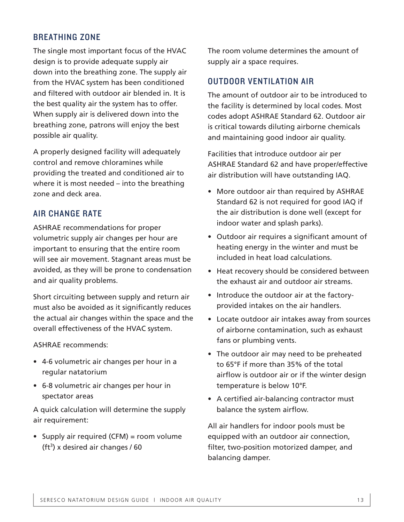#### BREATHING ZONE

The single most important focus of the HVAC design is to provide adequate supply air down into the breathing zone. The supply air from the HVAC system has been conditioned and filtered with outdoor air blended in. It is the best quality air the system has to offer. When supply air is delivered down into the breathing zone, patrons will enjoy the best possible air quality.

A properly designed facility will adequately control and remove chloramines while providing the treated and conditioned air to where it is most needed – into the breathing zone and deck area.

#### AIR CHANGE RATE

ASHRAE recommendations for proper volumetric supply air changes per hour are important to ensuring that the entire room will see air movement. Stagnant areas must be avoided, as they will be prone to condensation and air quality problems.

Short circuiting between supply and return air must also be avoided as it significantly reduces the actual air changes within the space and the overall effectiveness of the HVAC system.

ASHRAE recommends:

- 4-6 volumetric air changes per hour in a regular natatorium
- 6-8 volumetric air changes per hour in spectator areas

A quick calculation will determine the supply air requirement:

• Supply air required (CFM) = room volume  $(tf<sup>3</sup>)$  x desired air changes / 60

The room volume determines the amount of supply air a space requires.

#### OUTDOOR VENTILATION AIR

The amount of outdoor air to be introduced to the facility is determined by local codes. Most codes adopt ASHRAE Standard 62. Outdoor air is critical towards diluting airborne chemicals and maintaining good indoor air quality.

Facilities that introduce outdoor air per ASHRAE Standard 62 and have proper/effective air distribution will have outstanding IAQ.

- More outdoor air than required by ASHRAE Standard 62 is not required for good IAQ if the air distribution is done well (except for indoor water and splash parks).
- Outdoor air requires a significant amount of heating energy in the winter and must be included in heat load calculations.
- Heat recovery should be considered between the exhaust air and outdoor air streams.
- Introduce the outdoor air at the factoryprovided intakes on the air handlers.
- Locate outdoor air intakes away from sources of airborne contamination, such as exhaust fans or plumbing vents.
- The outdoor air may need to be preheated to 65°F if more than 35% of the total airflow is outdoor air or if the winter design temperature is below 10°F.
- A certified air-balancing contractor must balance the system airflow.

All air handlers for indoor pools must be equipped with an outdoor air connection, filter, two-position motorized damper, and balancing damper.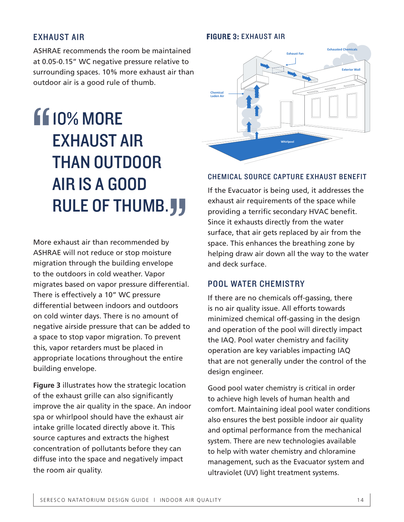#### EXHAUST AIR

ASHRAE recommends the room be maintained at 0.05-0.15" WC negative pressure relative to surrounding spaces. 10% more exhaust air than outdoor air is a good rule of thumb.

### **110% MORE** EXHAUST AIR THAN OUTDOOR AIR IS A GOOD RULE OF THUMB. **J** "

More exhaust air than recommended by ASHRAE will not reduce or stop moisture migration through the building envelope to the outdoors in cold weather. Vapor migrates based on vapor pressure differential. There is effectively a 10" WC pressure differential between indoors and outdoors on cold winter days. There is no amount of negative airside pressure that can be added to a space to stop vapor migration. To prevent this, vapor retarders must be placed in appropriate locations throughout the entire building envelope. **"**<br>""<br>""

**Figure 3** illustrates how the strategic location of the exhaust grille can also significantly improve the air quality in the space. An indoor spa or whirlpool should have the exhaust air intake grille located directly above it. This source captures and extracts the highest concentration of pollutants before they can diffuse into the space and negatively impact the room air quality.

### **Exhaust Fan Exhausted Chemicals Exterior Wall Chemical Laden Air Whirlpool**

FIGURE 3: EXHAUST AIR

#### CHEMICAL SOURCE CAPTURE EXHAUST BENEFIT

If the Evacuator is being used, it addresses the exhaust air requirements of the space while providing a terrific secondary HVAC benefit. Since it exhausts directly from the water surface, that air gets replaced by air from the space. This enhances the breathing zone by helping draw air down all the way to the water and deck surface.

#### POOL WATER CHEMISTRY

If there are no chemicals off-gassing, there is no air quality issue. All efforts towards minimized chemical off-gassing in the design and operation of the pool will directly impact the IAQ. Pool water chemistry and facility operation are key variables impacting IAQ that are not generally under the control of the design engineer.

Good pool water chemistry is critical in order to achieve high levels of human health and comfort. Maintaining ideal pool water conditions also ensures the best possible indoor air quality and optimal performance from the mechanical system. There are new technologies available to help with water chemistry and chloramine management, such as the Evacuator system and ultraviolet (UV) light treatment systems.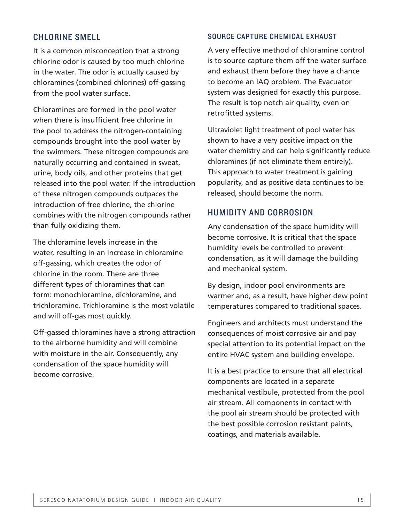#### CHLORINE SMELL

It is a common misconception that a strong chlorine odor is caused by too much chlorine in the water. The odor is actually caused by chloramines (combined chlorines) off-gassing from the pool water surface.

Chloramines are formed in the pool water when there is insufficient free chlorine in the pool to address the nitrogen-containing compounds brought into the pool water by the swimmers. These nitrogen compounds are naturally occurring and contained in sweat, urine, body oils, and other proteins that get released into the pool water. If the introduction of these nitrogen compounds outpaces the introduction of free chlorine, the chlorine combines with the nitrogen compounds rather than fully oxidizing them.

The chloramine levels increase in the water, resulting in an increase in chloramine off-gassing, which creates the odor of chlorine in the room. There are three different types of chloramines that can form: monochloramine, dichloramine, and trichloramine. Trichloramine is the most volatile and will off-gas most quickly.

Off-gassed chloramines have a strong attraction to the airborne humidity and will combine with moisture in the air. Consequently, any condensation of the space humidity will become corrosive.

#### SOURCE CAPTURE CHEMICAL EXHAUST

A very effective method of chloramine control is to source capture them off the water surface and exhaust them before they have a chance to become an IAQ problem. The Evacuator system was designed for exactly this purpose. The result is top notch air quality, even on retrofitted systems.

Ultraviolet light treatment of pool water has shown to have a very positive impact on the water chemistry and can help significantly reduce chloramines (if not eliminate them entirely). This approach to water treatment is gaining popularity, and as positive data continues to be released, should become the norm.

#### HUMIDITY AND CORROSION

Any condensation of the space humidity will become corrosive. It is critical that the space humidity levels be controlled to prevent condensation, as it will damage the building and mechanical system.

By design, indoor pool environments are warmer and, as a result, have higher dew point temperatures compared to traditional spaces.

Engineers and architects must understand the consequences of moist corrosive air and pay special attention to its potential impact on the entire HVAC system and building envelope.

It is a best practice to ensure that all electrical components are located in a separate mechanical vestibule, protected from the pool air stream. All components in contact with the pool air stream should be protected with the best possible corrosion resistant paints, coatings, and materials available.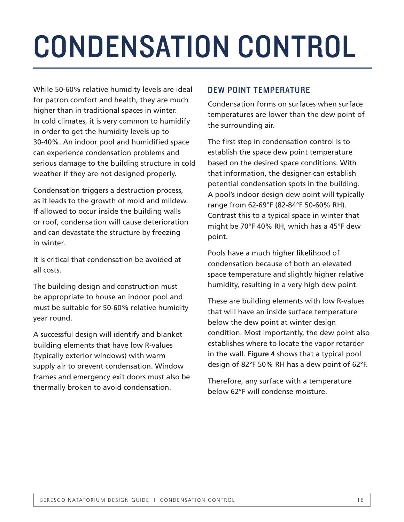# CONDENSATION CONTROL

While 50-60% relative humidity levels are ideal for patron comfort and health, they are much higher than in traditional spaces in winter. In cold climates, it is very common to humidify in order to get the humidity levels up to 30-40%. An indoor pool and humidified space can experience condensation problems and serious damage to the building structure in cold weather if they are not designed properly.

Condensation triggers a destruction process, as it leads to the growth of mold and mildew. If allowed to occur inside the building walls or roof, condensation will cause deterioration and can devastate the structure by freezing in winter.

It is critical that condensation be avoided at all costs.

The building design and construction must be appropriate to house an indoor pool and must be suitable for 50-60% relative humidity year round.

A successful design will identify and blanket building elements that have low R-values (typically exterior windows) with warm supply air to prevent condensation. Window frames and emergency exit doors must also be thermally broken to avoid condensation.

#### DEW POINT TEMPERATURE

Condensation forms on surfaces when surface temperatures are lower than the dew point of the surrounding air.

The first step in condensation control is to establish the space dew point temperature based on the desired space conditions. With that information, the designer can establish potential condensation spots in the building. A pool's indoor design dew point will typically range from 62-69°F (82-84°F 50-60% RH). Contrast this to a typical space in winter that might be 70°F 40% RH, which has a 45°F dew point.

Pools have a much higher likelihood of condensation because of both an elevated space temperature and slightly higher relative humidity, resulting in a very high dew point.

These are building elements with low R-values that will have an inside surface temperature below the dew point at winter design condition. Most importantly, the dew point also establishes where to locate the vapor retarder in the wall. **Figure 4** shows that a typical pool design of 82°F 50% RH has a dew point of 62°F.

Therefore, any surface with a temperature below 62°F will condense moisture.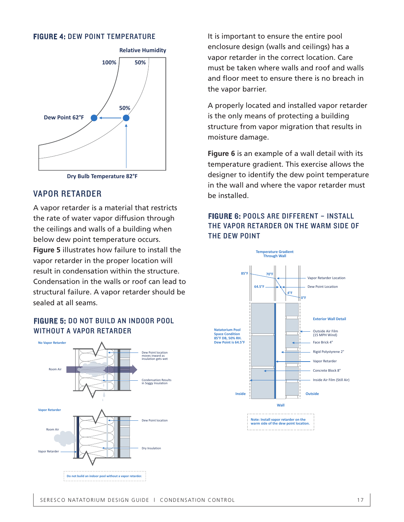#### FIGURE 4: DEW POINT TEMPERATURE



#### **Dry Bulb Temperature 82°F**

#### VAPOR RETARDER

A vapor retarder is a material that restricts the rate of water vapor diffusion through the ceilings and walls of a building when below dew point temperature occurs. **Figure 5** illustrates how failure to install the vapor retarder in the proper location will result in condensation within the structure. Condensation in the walls or roof can lead to structural failure. A vapor retarder should be sealed at all seams.

#### FIGURE 5: DO NOT BUILD AN INDOOR POOL WITHOUT A VAPOR RETARDER



It is important to ensure the entire pool enclosure design (walls and ceilings) has a vapor retarder in the correct location. Care must be taken where walls and roof and walls and floor meet to ensure there is no breach in the vapor barrier.

A properly located and installed vapor retarder is the only means of protecting a building structure from vapor migration that results in moisture damage.

**Figure 6** is an example of a wall detail with its temperature gradient. This exercise allows the designer to identify the dew point temperature in the wall and where the vapor retarder must be installed.

#### FIGURE 6: POOLS ARE DIFFERENT – INSTALL THE VAPOR RETARDER ON THE WARM SIDE OF THE DEW POINT

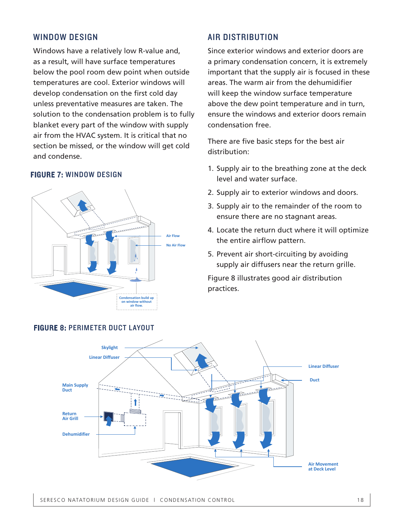#### WINDOW DESIGN

Windows have a relatively low R-value and, as a result, will have surface temperatures below the pool room dew point when outside temperatures are cool. Exterior windows will develop condensation on the first cold day unless preventative measures are taken. The solution to the condensation problem is to fully blanket every part of the window with supply air from the HVAC system. It is critical that no section be missed, or the window will get cold and condense.

#### FIGURE 7: WINDOW DESIGN



#### AIR DISTRIBUTION

Since exterior windows and exterior doors are a primary condensation concern, it is extremely important that the supply air is focused in these areas. The warm air from the dehumidifier will keep the window surface temperature above the dew point temperature and in turn, ensure the windows and exterior doors remain condensation free.

There are five basic steps for the best air distribution:

- 1. Supply air to the breathing zone at the deck level and water surface.
- 2. Supply air to exterior windows and doors.
- 3. Supply air to the remainder of the room to ensure there are no stagnant areas.
- 4. Locate the return duct where it will optimize the entire airflow pattern.
- 5. Prevent air short-circuiting by avoiding supply air diffusers near the return grille.

Figure 8 illustrates good air distribution practices.



#### FIGURE 8: PERIMETER DUCT LAYOUT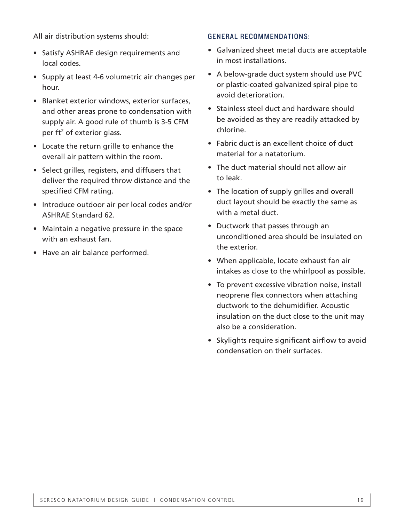All air distribution systems should:

- Satisfy ASHRAE design requirements and local codes.
- Supply at least 4-6 volumetric air changes per hour.
- Blanket exterior windows, exterior surfaces, and other areas prone to condensation with supply air. A good rule of thumb is 3-5 CFM per  $ft^2$  of exterior glass.
- Locate the return grille to enhance the overall air pattern within the room.
- Select grilles, registers, and diffusers that deliver the required throw distance and the specified CFM rating.
- Introduce outdoor air per local codes and/or ASHRAE Standard 62.
- Maintain a negative pressure in the space with an exhaust fan.
- Have an air balance performed.

#### GENERAL RECOMMENDATIONS:

- Galvanized sheet metal ducts are acceptable in most installations.
- A below-grade duct system should use PVC or plastic-coated galvanized spiral pipe to avoid deterioration.
- Stainless steel duct and hardware should be avoided as they are readily attacked by chlorine.
- Fabric duct is an excellent choice of duct material for a natatorium.
- The duct material should not allow air to leak.
- The location of supply grilles and overall duct layout should be exactly the same as with a metal duct.
- Ductwork that passes through an unconditioned area should be insulated on the exterior.
- When applicable, locate exhaust fan air intakes as close to the whirlpool as possible.
- To prevent excessive vibration noise, install neoprene flex connectors when attaching ductwork to the dehumidifier. Acoustic insulation on the duct close to the unit may also be a consideration.
- Skylights require significant airflow to avoid condensation on their surfaces.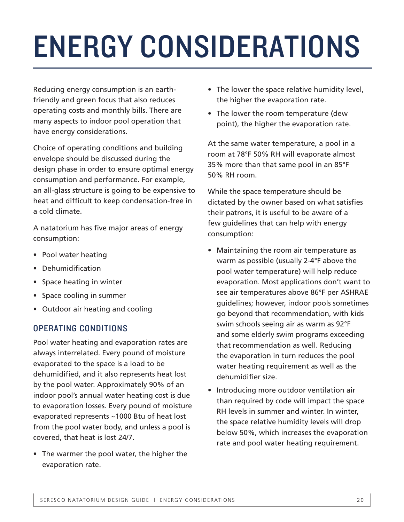# ENERGY CONSIDERATIONS

Reducing energy consumption is an earthfriendly and green focus that also reduces operating costs and monthly bills. There are many aspects to indoor pool operation that have energy considerations.

Choice of operating conditions and building envelope should be discussed during the design phase in order to ensure optimal energy consumption and performance. For example, an all-glass structure is going to be expensive to heat and difficult to keep condensation-free in a cold climate.

A natatorium has five major areas of energy consumption:

- Pool water heating
- Dehumidification
- Space heating in winter
- Space cooling in summer
- Outdoor air heating and cooling

#### OPERATING CONDITIONS

Pool water heating and evaporation rates are always interrelated. Every pound of moisture evaporated to the space is a load to be dehumidified, and it also represents heat lost by the pool water. Approximately 90% of an indoor pool's annual water heating cost is due to evaporation losses. Every pound of moisture evaporated represents ~1000 Btu of heat lost from the pool water body, and unless a pool is covered, that heat is lost 24/7.

• The warmer the pool water, the higher the evaporation rate.

- The lower the space relative humidity level, the higher the evaporation rate.
- The lower the room temperature (dew point), the higher the evaporation rate.

At the same water temperature, a pool in a room at 78°F 50% RH will evaporate almost 35% more than that same pool in an 85°F 50% RH room.

While the space temperature should be dictated by the owner based on what satisfies their patrons, it is useful to be aware of a few guidelines that can help with energy consumption:

- Maintaining the room air temperature as warm as possible (usually 2-4°F above the pool water temperature) will help reduce evaporation. Most applications don't want to see air temperatures above 86°F per ASHRAE guidelines; however, indoor pools sometimes go beyond that recommendation, with kids swim schools seeing air as warm as 92°F and some elderly swim programs exceeding that recommendation as well. Reducing the evaporation in turn reduces the pool water heating requirement as well as the dehumidifier size.
- Introducing more outdoor ventilation air than required by code will impact the space RH levels in summer and winter. In winter, the space relative humidity levels will drop below 50%, which increases the evaporation rate and pool water heating requirement.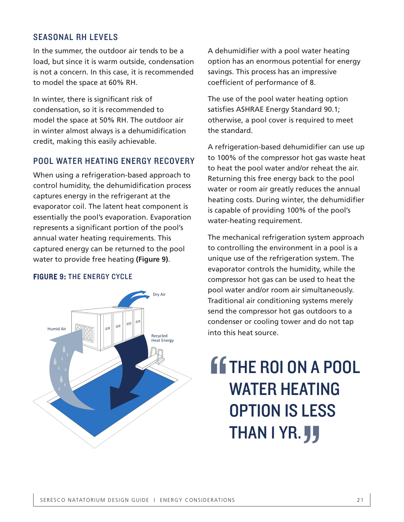#### SEASONAL RH LEVELS

In the summer, the outdoor air tends to be a load, but since it is warm outside, condensation is not a concern. In this case, it is recommended to model the space at 60% RH.

In winter, there is significant risk of condensation, so it is recommended to model the space at 50% RH. The outdoor air in winter almost always is a dehumidification credit, making this easily achievable.

#### POOL WATER HEATING ENERGY RECOVERY

When using a refrigeration-based approach to control humidity, the dehumidification process captures energy in the refrigerant at the evaporator coil. The latent heat component is essentially the pool's evaporation. Evaporation represents a significant portion of the pool's annual water heating requirements. This captured energy can be returned to the pool water to provide free heating **(Figure 9)**.

#### FIGURE 9: THE ENERGY CYCLE



A dehumidifier with a pool water heating option has an enormous potential for energy savings. This process has an impressive coefficient of performance of 8.

The use of the pool water heating option satisfies ASHRAE Energy Standard 90.1; otherwise, a pool cover is required to meet the standard.

A refrigeration-based dehumidifier can use up to 100% of the compressor hot gas waste heat to heat the pool water and/or reheat the air. Returning this free energy back to the pool water or room air greatly reduces the annual heating costs. During winter, the dehumidifier is capable of providing 100% of the pool's water-heating requirement.

The mechanical refrigeration system approach to controlling the environment in a pool is a unique use of the refrigeration system. The evaporator controls the humidity, while the compressor hot gas can be used to heat the pool water and/or room air simultaneously. Traditional air conditioning systems merely send the compressor hot gas outdoors to a condenser or cooling tower and do not tap into this heat source.

### *SETHE ROI ON A POOL* WATER HEATING OPTION IS LESS THAN I YR. **JJ** " ""<br>""<br>"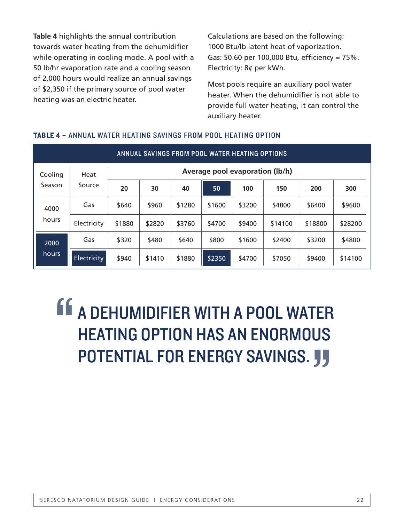**Table 4** highlights the annual contribution towards water heating from the dehumidifier while operating in cooling mode. A pool with a 50 lb/hr evaporation rate and a cooling season of 2,000 hours would realize an annual savings of \$2,350 if the primary source of pool water heating was an electric heater.

Calculations are based on the following: 1000 Btu/lb latent heat of vaporization. Gas: \$0.60 per 100,000 Btu, efficiency = 75%. Electricity: 8¢ per kWh.

Most pools require an auxiliary pool water heater. When the dehumidifier is not able to provide full water heating, it can control the auxiliary heater.

| ANNUAL SAVINGS FROM POOL WATER HEATING OPTIONS |             |                                 |        |        |        |        |         |         |         |
|------------------------------------------------|-------------|---------------------------------|--------|--------|--------|--------|---------|---------|---------|
| Cooling                                        | Heat        | Average pool evaporation (lb/h) |        |        |        |        |         |         |         |
| Season                                         | Source      | 20                              | 30     | 40     | 50     | 100    | 150     | 200     | 300     |
| 4000                                           | Gas         | \$640                           | \$960  | \$1280 | \$1600 | \$3200 | \$4800  | \$6400  | \$9600  |
| hours                                          | Electricity | \$1880                          | \$2820 | \$3760 | \$4700 | \$9400 | \$14100 | \$18800 | \$28200 |
| 2000                                           | Gas         | \$320                           | \$480  | \$640  | \$800  | \$1600 | \$2400  | \$3200  | \$4800  |
| hours                                          | Electricity | \$940                           | \$1410 | \$1880 | \$2350 | \$4700 | \$7050  | \$9400  | \$14100 |

#### TABLE 4 – ANNUAL WATER HEATING SAVINGS FROM POOL HEATING OPTION

### A DEHUMIDIFIER WITH A POOL WATER HEATING OPTION HAS AN ENORMOUS " POTENTIAL FOR ENERGY SAVINGS. JJ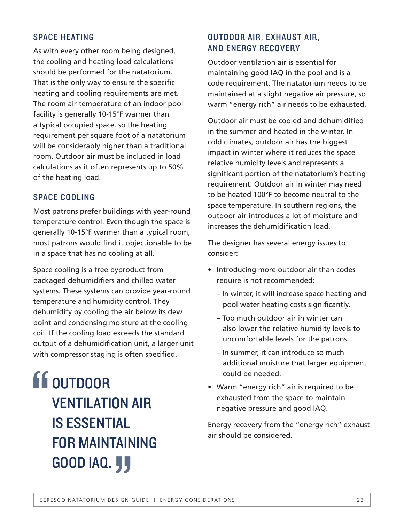#### SPACE HEATING

As with every other room being designed, the cooling and heating load calculations should be performed for the natatorium. That is the only way to ensure the specific heating and cooling requirements are met. The room air temperature of an indoor pool facility is generally 10-15°F warmer than a typical occupied space, so the heating requirement per square foot of a natatorium will be considerably higher than a traditional room. Outdoor air must be included in load calculations as it often represents up to 50% of the heating load.

#### SPACE COOLING

Most patrons prefer buildings with year-round temperature control. Even though the space is generally 10-15°F warmer than a typical room, most patrons would find it objectionable to be in a space that has no cooling at all.

Space cooling is a free byproduct from packaged dehumidifiers and chilled water systems. These systems can provide year-round temperature and humidity control. They dehumidify by cooling the air below its dew point and condensing moisture at the cooling coil. If the cooling load exceeds the standard output of a dehumidification unit, a larger unit with compressor staging is often specified.

**OUTDOOR** VENTILATION AIR IS ESSENTIAL FOR MAINTAINING **GOOD IAQ. JJ** " AIN<br>J<br>Sign d

#### OUTDOOR AIR, EXHAUST AIR, AND ENERGY RECOVERY

Outdoor ventilation air is essential for maintaining good IAQ in the pool and is a code requirement. The natatorium needs to be maintained at a slight negative air pressure, so warm "energy rich" air needs to be exhausted.

Outdoor air must be cooled and dehumidified in the summer and heated in the winter. In cold climates, outdoor air has the biggest impact in winter where it reduces the space relative humidity levels and represents a significant portion of the natatorium's heating requirement. Outdoor air in winter may need to be heated 100°F to become neutral to the space temperature. In southern regions, the outdoor air introduces a lot of moisture and increases the dehumidification load.

The designer has several energy issues to consider:

- Introducing more outdoor air than codes require is not recommended:
	- In winter, it will increase space heating and pool water heating costs significantly.
	- Too much outdoor air in winter can also lower the relative humidity levels to uncomfortable levels for the patrons.
	- In summer, it can introduce so much additional moisture that larger equipment could be needed.
- Warm "energy rich" air is required to be exhausted from the space to maintain negative pressure and good IAQ.

Energy recovery from the "energy rich" exhaust air should be considered.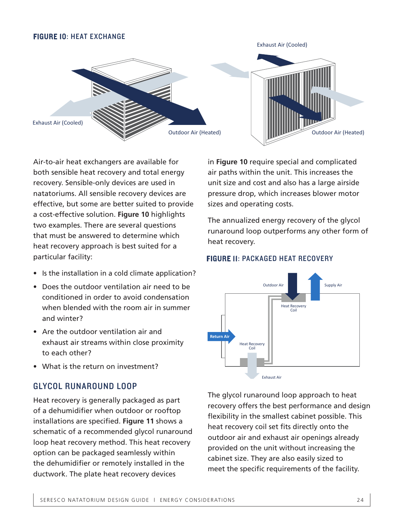#### FIGURE 10: HEAT EXCHANGE



Air-to-air heat exchangers are available for both sensible heat recovery and total energy recovery. Sensible-only devices are used in natatoriums. All sensible recovery devices are effective, but some are better suited to provide a cost-effective solution. **Figure 10** highlights two examples. There are several questions that must be answered to determine which heat recovery approach is best suited for a particular facility:

- Is the installation in a cold climate application?
- Does the outdoor ventilation air need to be conditioned in order to avoid condensation when blended with the room air in summer and winter?
- Are the outdoor ventilation air and exhaust air streams within close proximity to each other?
- What is the return on investment?

#### GLYCOL RUNAROUND LOOP

Heat recovery is generally packaged as part of a dehumidifier when outdoor or rooftop installations are specified. **Figure 11** shows a schematic of a recommended glycol runaround loop heat recovery method. This heat recovery option can be packaged seamlessly within the dehumidifier or remotely installed in the ductwork. The plate heat recovery devices

in **Figure 10** require special and complicated air paths within the unit. This increases the unit size and cost and also has a large airside pressure drop, which increases blower motor sizes and operating costs.

The annualized energy recovery of the glycol runaround loop outperforms any other form of heat recovery.

#### FIGURE 11: PACKAGED HEAT RECOVERY



The glycol runaround loop approach to heat recovery offers the best performance and design flexibility in the smallest cabinet possible. This heat recovery coil set fits directly onto the outdoor air and exhaust air openings already provided on the unit without increasing the cabinet size. They are also easily sized to meet the specific requirements of the facility.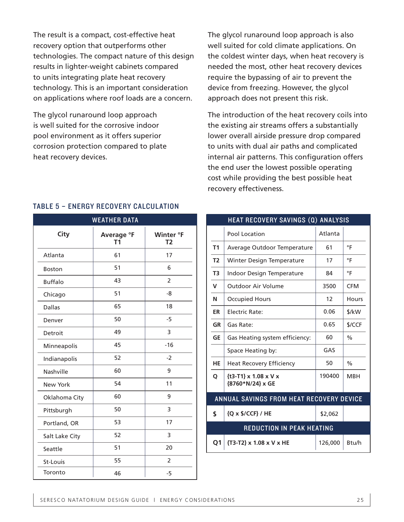The result is a compact, cost-effective heat recovery option that outperforms other technologies. The compact nature of this design results in lighter-weight cabinets compared to units integrating plate heat recovery technology. This is an important consideration on applications where roof loads are a concern.

The glycol runaround loop approach is well suited for the corrosive indoor pool environment as it offers superior corrosion protection compared to plate heat recovery devices.

The glycol runaround loop approach is also well suited for cold climate applications. On the coldest winter days, when heat recovery is needed the most, other heat recovery devices require the bypassing of air to prevent the device from freezing. However, the glycol approach does not present this risk.

The introduction of the heat recovery coils into the existing air streams offers a substantially lower overall airside pressure drop compared to units with dual air paths and complicated internal air patterns. This configuration offers the end user the lowest possible operating cost while providing the best possible heat recovery effectiveness.

| <b>WEATHER DATA</b> |                              |                             |  |  |
|---------------------|------------------------------|-----------------------------|--|--|
| City                | Average °F<br>T <sub>1</sub> | Winter °F<br>T <sub>2</sub> |  |  |
| Atlanta             | 61                           | 17                          |  |  |
| <b>Boston</b>       | 51                           | 6                           |  |  |
| <b>Buffalo</b>      | 43                           | $\overline{2}$              |  |  |
| Chicago             | 51                           | $-8$                        |  |  |
| <b>Dallas</b>       | 65                           | 18                          |  |  |
| Denver              | 50                           | $-5$                        |  |  |
| Detroit             | 49                           | 3                           |  |  |
| Minneapolis         | 45                           | $-16$                       |  |  |
| Indianapolis        | 52                           | $-2$                        |  |  |
| Nashville           | 60                           | 9                           |  |  |
| <b>New York</b>     | 54                           | 11                          |  |  |
| Oklahoma City       | 60                           | 9                           |  |  |
| Pittsburgh          | 50                           | 3                           |  |  |
| Portland, OR        | 53                           | 17                          |  |  |
| Salt Lake City      | 52                           | 3                           |  |  |
| Seattle             | 51                           | 20                          |  |  |
| St-Louis            | 55                           | $\overline{2}$              |  |  |
| Toronto             | 46                           | $-5$                        |  |  |

#### TABLE 5 – ENERGY RECOVERY CALCULATION

| <b>WEATHER DATA</b> |                | HEAT RECOVERY SAVINGS (Q) ANALYSIS |                                                           |         |               |
|---------------------|----------------|------------------------------------|-----------------------------------------------------------|---------|---------------|
| Average °F<br>T1    | Winter °F      |                                    | Pool Location                                             | Atlanta |               |
|                     | T <sub>2</sub> | T <sub>1</sub>                     | Average Outdoor Temperature                               | 61      | $\circ$ F     |
| 61                  | 17             | T <sub>2</sub>                     | Winter Design Temperature                                 | 17      | $\circ$ F     |
| 51                  | 6              | T3                                 | Indoor Design Temperature                                 | 84      | $\circ$ F     |
| 43                  | 2              |                                    |                                                           |         |               |
| 51                  | -8             | $\mathbf v$                        | <b>Outdoor Air Volume</b>                                 | 3500    | <b>CFM</b>    |
|                     |                | N                                  | <b>Occupied Hours</b>                                     | 12      | <b>Hours</b>  |
| 65                  | 18             | <b>ER</b>                          | <b>Electric Rate:</b>                                     | 0.06    | \$/kW         |
| 50                  | $-5$           | <b>GR</b>                          | Gas Rate:                                                 | 0.65    | \$/CCF        |
| 49                  | 3              | <b>GE</b>                          | Gas Heating system efficiency:                            | 60      | $\%$          |
| 45                  | $-16$          |                                    | Space Heating by:                                         | GAS     |               |
| 52                  | $-2$           | <b>HE</b>                          |                                                           | 50      | $\frac{0}{0}$ |
| 60                  | 9              |                                    | <b>Heat Recovery Efficiency</b>                           |         |               |
| 54                  | 11             | O                                  | ${t3-T1} \times 1.08 \times V \times$<br>{8760*N/24} x GE | 190400  | <b>MBH</b>    |
| 60                  | 9              |                                    | ANNUAL SAVINGS FROM HEAT RECOVERY DEVICE                  |         |               |
| 50                  | 3              | \$                                 | {Q x \$/CCF} / HE                                         | \$2,062 |               |
| 53                  | 17             |                                    |                                                           |         |               |
| 52                  | 3              |                                    | REDUCTION IN PEAK HEATING                                 |         |               |
| 51                  | 20             | Q <sub>1</sub>                     | {T3-T2} x 1.08 x V x HE                                   | 126,000 | Btu/h         |
|                     |                |                                    |                                                           |         |               |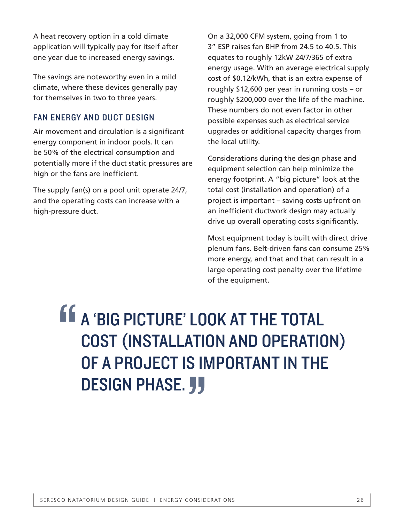A heat recovery option in a cold climate application will typically pay for itself after one year due to increased energy savings.

The savings are noteworthy even in a mild climate, where these devices generally pay for themselves in two to three years.

#### FAN ENERGY AND DUCT DESIGN

Air movement and circulation is a significant energy component in indoor pools. It can be 50% of the electrical consumption and potentially more if the duct static pressures are high or the fans are inefficient.

The supply fan(s) on a pool unit operate 24/7, and the operating costs can increase with a high-pressure duct.

On a 32,000 CFM system, going from 1 to 3" ESP raises fan BHP from 24.5 to 40.5. This equates to roughly 12kW 24/7/365 of extra energy usage. With an average electrical supply cost of \$0.12/kWh, that is an extra expense of roughly \$12,600 per year in running costs – or roughly \$200,000 over the life of the machine. These numbers do not even factor in other possible expenses such as electrical service upgrades or additional capacity charges from the local utility.

Considerations during the design phase and equipment selection can help minimize the energy footprint. A "big picture" look at the total cost (installation and operation) of a project is important – saving costs upfront on an inefficient ductwork design may actually drive up overall operating costs significantly.

Most equipment today is built with direct drive plenum fans. Belt-driven fans can consume 25% more energy, and that and that can result in a large operating cost penalty over the lifetime of the equipment.

### A 'BIG PICTURE' LOOK AT THE TOTAL COST (INSTALLATION AND OPERATION) OF A PROJECT IS IMPORTANT IN THE DESIGN PHASE. **JJ** " "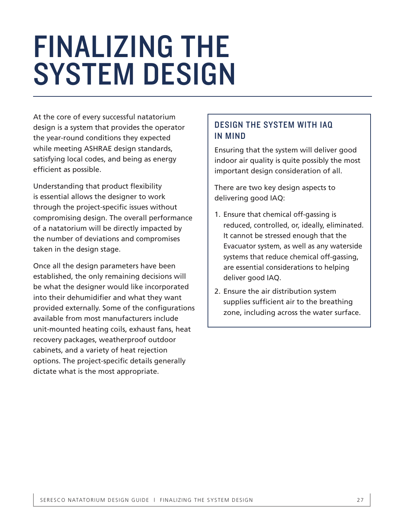## FINALIZING THE SYSTEM DESIGN

At the core of every successful natatorium design is a system that provides the operator the year-round conditions they expected while meeting ASHRAE design standards, satisfying local codes, and being as energy efficient as possible.

Understanding that product flexibility is essential allows the designer to work through the project-specific issues without compromising design. The overall performance of a natatorium will be directly impacted by the number of deviations and compromises taken in the design stage.

Once all the design parameters have been established, the only remaining decisions will be what the designer would like incorporated into their dehumidifier and what they want provided externally. Some of the configurations available from most manufacturers include unit-mounted heating coils, exhaust fans, heat recovery packages, weatherproof outdoor cabinets, and a variety of heat rejection options. The project-specific details generally dictate what is the most appropriate.

#### DESIGN THE SYSTEM WITH IAQ IN MIND

Ensuring that the system will deliver good indoor air quality is quite possibly the most important design consideration of all.

There are two key design aspects to delivering good IAQ:

- 1. Ensure that chemical off-gassing is reduced, controlled, or, ideally, eliminated. It cannot be stressed enough that the Evacuator system, as well as any waterside systems that reduce chemical off-gassing, are essential considerations to helping deliver good IAQ.
- 2. Ensure the air distribution system supplies sufficient air to the breathing zone, including across the water surface.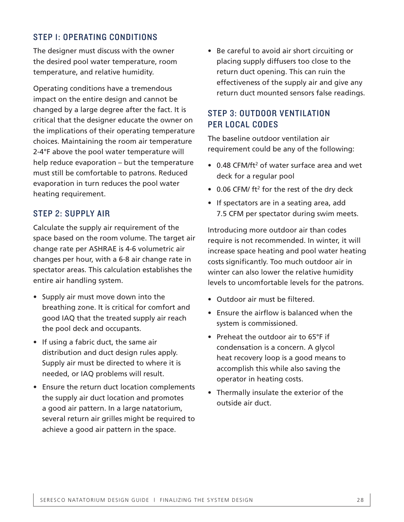#### STEP 1: OPERATING CONDITIONS

The designer must discuss with the owner the desired pool water temperature, room temperature, and relative humidity.

Operating conditions have a tremendous impact on the entire design and cannot be changed by a large degree after the fact. It is critical that the designer educate the owner on the implications of their operating temperature choices. Maintaining the room air temperature 2-4°F above the pool water temperature will help reduce evaporation – but the temperature must still be comfortable to patrons. Reduced evaporation in turn reduces the pool water heating requirement.

#### STEP 2: SUPPLY AIR

Calculate the supply air requirement of the space based on the room volume. The target air change rate per ASHRAE is 4-6 volumetric air changes per hour, with a 6-8 air change rate in spectator areas. This calculation establishes the entire air handling system.

- Supply air must move down into the breathing zone. It is critical for comfort and good IAQ that the treated supply air reach the pool deck and occupants.
- If using a fabric duct, the same air distribution and duct design rules apply. Supply air must be directed to where it is needed, or IAQ problems will result.
- Ensure the return duct location complements the supply air duct location and promotes a good air pattern. In a large natatorium, several return air grilles might be required to achieve a good air pattern in the space.

• Be careful to avoid air short circuiting or placing supply diffusers too close to the return duct opening. This can ruin the effectiveness of the supply air and give any return duct mounted sensors false readings.

#### STEP 3: OUTDOOR VENTILATION PER LOCAL CODES

The baseline outdoor ventilation air requirement could be any of the following:

- $\bullet$  0.48 CFM/ft<sup>2</sup> of water surface area and wet deck for a regular pool
- 0.06 CFM/  $ft^2$  for the rest of the dry deck
- If spectators are in a seating area, add 7.5 CFM per spectator during swim meets.

Introducing more outdoor air than codes require is not recommended. In winter, it will increase space heating and pool water heating costs significantly. Too much outdoor air in winter can also lower the relative humidity levels to uncomfortable levels for the patrons.

- Outdoor air must be filtered.
- Ensure the airflow is balanced when the system is commissioned.
- Preheat the outdoor air to 65°F if condensation is a concern. A glycol heat recovery loop is a good means to accomplish this while also saving the operator in heating costs.
- Thermally insulate the exterior of the outside air duct.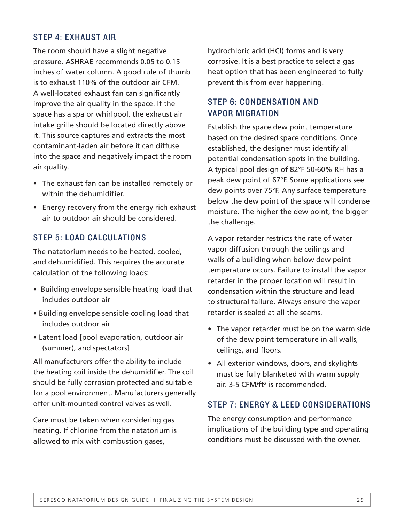#### STEP 4: EXHAUST AIR

The room should have a slight negative pressure. ASHRAE recommends 0.05 to 0.15 inches of water column. A good rule of thumb is to exhaust 110% of the outdoor air CFM. A well-located exhaust fan can significantly improve the air quality in the space. If the space has a spa or whirlpool, the exhaust air intake grille should be located directly above it. This source captures and extracts the most contaminant-laden air before it can diffuse into the space and negatively impact the room air quality.

- The exhaust fan can be installed remotely or within the dehumidifier.
- Energy recovery from the energy rich exhaust air to outdoor air should be considered.

#### STEP 5: LOAD CALCULATIONS

The natatorium needs to be heated, cooled, and dehumidified. This requires the accurate calculation of the following loads:

- Building envelope sensible heating load that includes outdoor air
- Building envelope sensible cooling load that includes outdoor air
- Latent load [pool evaporation, outdoor air (summer), and spectators]

All manufacturers offer the ability to include the heating coil inside the dehumidifier. The coil should be fully corrosion protected and suitable for a pool environment. Manufacturers generally offer unit-mounted control valves as well.

Care must be taken when considering gas heating. If chlorine from the natatorium is allowed to mix with combustion gases,

hydrochloric acid (HCl) forms and is very corrosive. It is a best practice to select a gas heat option that has been engineered to fully prevent this from ever happening.

#### STEP 6: CONDENSATION AND VAPOR MIGRATION

Establish the space dew point temperature based on the desired space conditions. Once established, the designer must identify all potential condensation spots in the building. A typical pool design of 82°F 50-60% RH has a peak dew point of 67°F. Some applications see dew points over 75°F. Any surface temperature below the dew point of the space will condense moisture. The higher the dew point, the bigger the challenge.

A vapor retarder restricts the rate of water vapor diffusion through the ceilings and walls of a building when below dew point temperature occurs. Failure to install the vapor retarder in the proper location will result in condensation within the structure and lead to structural failure. Always ensure the vapor retarder is sealed at all the seams.

- The vapor retarder must be on the warm side of the dew point temperature in all walls, ceilings, and floors.
- All exterior windows, doors, and skylights must be fully blanketed with warm supply air. 3-5 CFM/ft² is recommended.

#### STEP 7: ENERGY & LEED CONSIDERATIONS

The energy consumption and performance implications of the building type and operating conditions must be discussed with the owner.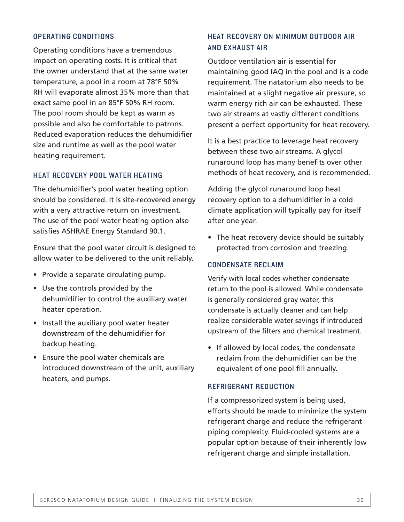#### OPERATING CONDITIONS

Operating conditions have a tremendous impact on operating costs. It is critical that the owner understand that at the same water temperature, a pool in a room at 78°F 50% RH will evaporate almost 35% more than that exact same pool in an 85°F 50% RH room. The pool room should be kept as warm as possible and also be comfortable to patrons. Reduced evaporation reduces the dehumidifier size and runtime as well as the pool water heating requirement.

#### HEAT RECOVERY POOL WATER HEATING

The dehumidifier's pool water heating option should be considered. It is site-recovered energy with a very attractive return on investment. The use of the pool water heating option also satisfies ASHRAE Energy Standard 90.1.

Ensure that the pool water circuit is designed to allow water to be delivered to the unit reliably.

- Provide a separate circulating pump.
- Use the controls provided by the dehumidifier to control the auxiliary water heater operation.
- Install the auxiliary pool water heater downstream of the dehumidifier for backup heating.
- Ensure the pool water chemicals are introduced downstream of the unit, auxiliary heaters, and pumps.

#### HEAT RECOVERY ON MINIMUM OUTDOOR AIR AND EXHAUST AIR

Outdoor ventilation air is essential for maintaining good IAQ in the pool and is a code requirement. The natatorium also needs to be maintained at a slight negative air pressure, so warm energy rich air can be exhausted. These two air streams at vastly different conditions present a perfect opportunity for heat recovery.

It is a best practice to leverage heat recovery between these two air streams. A glycol runaround loop has many benefits over other methods of heat recovery, and is recommended.

Adding the glycol runaround loop heat recovery option to a dehumidifier in a cold climate application will typically pay for itself after one year.

• The heat recovery device should be suitably protected from corrosion and freezing.

#### CONDENSATE RECLAIM

Verify with local codes whether condensate return to the pool is allowed. While condensate is generally considered gray water, this condensate is actually cleaner and can help realize considerable water savings if introduced upstream of the filters and chemical treatment.

• If allowed by local codes, the condensate reclaim from the dehumidifier can be the equivalent of one pool fill annually.

#### REFRIGERANT REDUCTION

If a compressorized system is being used, efforts should be made to minimize the system refrigerant charge and reduce the refrigerant piping complexity. Fluid-cooled systems are a popular option because of their inherently low refrigerant charge and simple installation.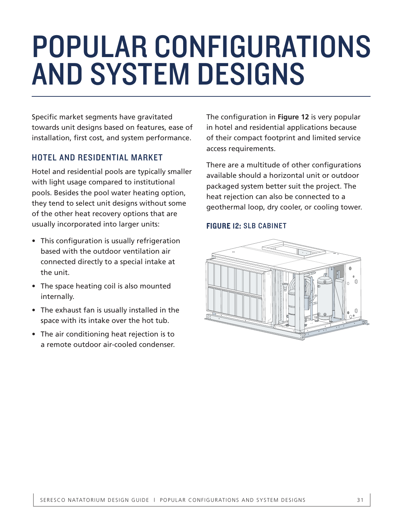## POPULAR CONFIGURATIONS AND SYSTEM DESIGNS

Specific market segments have gravitated towards unit designs based on features, ease of installation, first cost, and system performance.

#### HOTEL AND RESIDENTIAL MARKET

Hotel and residential pools are typically smaller with light usage compared to institutional pools. Besides the pool water heating option, they tend to select unit designs without some of the other heat recovery options that are usually incorporated into larger units:

- This configuration is usually refrigeration based with the outdoor ventilation air connected directly to a special intake at the unit.
- The space heating coil is also mounted internally.
- The exhaust fan is usually installed in the space with its intake over the hot tub.
- The air conditioning heat rejection is to a remote outdoor air-cooled condenser.

The configuration in **Figure 12** is very popular in hotel and residential applications because of their compact footprint and limited service access requirements.

There are a multitude of other configurations available should a horizontal unit or outdoor packaged system better suit the project. The heat rejection can also be connected to a geothermal loop, dry cooler, or cooling tower.

#### FIGURE 12: SLB CABINET

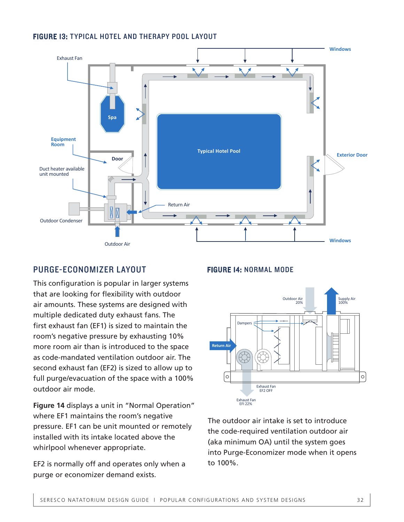#### FIGURE 13: TYPICAL HOTEL AND THERAPY POOL LAYOUT



#### PURGE-ECONOMIZER LAYOUT

This configuration is popular in larger systems that are looking for flexibility with outdoor air amounts. These systems are designed with multiple dedicated duty exhaust fans. The first exhaust fan (EF1) is sized to maintain the room's negative pressure by exhausting 10% more room air than is introduced to the space as code-mandated ventilation outdoor air. The second exhaust fan (EF2) is sized to allow up to full purge/evacuation of the space with a 100% outdoor air mode.

**Figure 14** displays a unit in "Normal Operation" where EF1 maintains the room's negative pressure. EF1 can be unit mounted or remotely installed with its intake located above the whirlpool whenever appropriate.

EF2 is normally off and operates only when a purge or economizer demand exists.

#### FIGURE 14: NORMAL MODE



The outdoor air intake is set to introduce the code-required ventilation outdoor air (aka minimum OA) until the system goes into Purge-Economizer mode when it opens to 100%.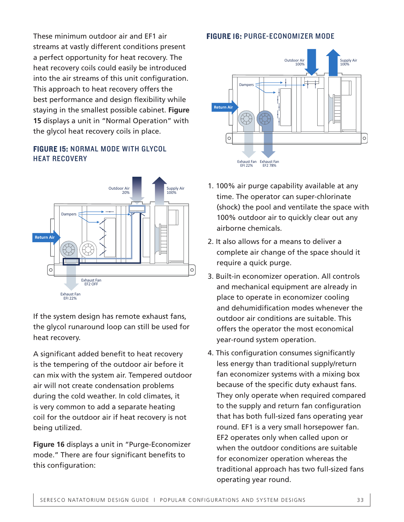These minimum outdoor air and EF1 air streams at vastly different conditions present a perfect opportunity for heat recovery. The heat recovery coils could easily be introduced into the air streams of this unit configuration. This approach to heat recovery offers the best performance and design flexibility while staying in the smallest possible cabinet. **Figure 15** displays a unit in "Normal Operation" with the glycol heat recovery coils in place.

#### FIGURE 15: NORMAL MODE WITH GLYCOL HEAT RECOVERY



If the system design has remote exhaust fans, the glycol runaround loop can still be used for heat recovery.

A significant added benefit to heat recovery is the tempering of the outdoor air before it can mix with the system air. Tempered outdoor air will not create condensation problems during the cold weather. In cold climates, it is very common to add a separate heating coil for the outdoor air if heat recovery is not being utilized.

**Figure 16** displays a unit in "Purge-Economizer mode." There are four significant benefits to this configuration:

#### FIGURE 16: PURGE-ECONOMIZER MODE



- 1. 100% air purge capability available at any time. The operator can super-chlorinate (shock) the pool and ventilate the space with 100% outdoor air to quickly clear out any airborne chemicals.
- 2. It also allows for a means to deliver a complete air change of the space should it require a quick purge.
- 3. Built-in economizer operation. All controls and mechanical equipment are already in place to operate in economizer cooling and dehumidification modes whenever the outdoor air conditions are suitable. This offers the operator the most economical year-round system operation.
- 4. This configuration consumes significantly less energy than traditional supply/return fan economizer systems with a mixing box because of the specific duty exhaust fans. They only operate when required compared to the supply and return fan configuration that has both full-sized fans operating year round. EF1 is a very small horsepower fan. EF2 operates only when called upon or when the outdoor conditions are suitable for economizer operation whereas the traditional approach has two full-sized fans operating year round.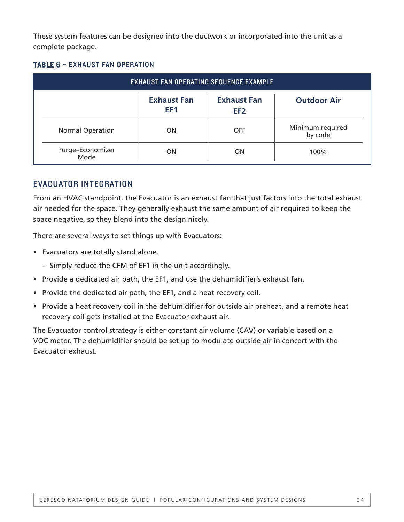These system features can be designed into the ductwork or incorporated into the unit as a complete package.

#### TABLE 6 – EXHAUST FAN OPERATION

| <b>EXHAUST FAN OPERATING SEQUENCE EXAMPLE</b> |                                       |                                       |                             |  |
|-----------------------------------------------|---------------------------------------|---------------------------------------|-----------------------------|--|
|                                               | <b>Exhaust Fan</b><br>EF <sub>1</sub> | <b>Exhaust Fan</b><br>EF <sub>2</sub> | <b>Outdoor Air</b>          |  |
| <b>Normal Operation</b>                       | <b>ON</b>                             | <b>OFF</b>                            | Minimum required<br>by code |  |
| Purge-Economizer<br>Mode                      | ON                                    | ON                                    | 100%                        |  |

#### EVACUATOR INTEGRATION

From an HVAC standpoint, the Evacuator is an exhaust fan that just factors into the total exhaust air needed for the space. They generally exhaust the same amount of air required to keep the space negative, so they blend into the design nicely.

There are several ways to set things up with Evacuators:

- Evacuators are totally stand alone.
	- Simply reduce the CFM of EF1 in the unit accordingly.
- Provide a dedicated air path, the EF1, and use the dehumidifier's exhaust fan.
- Provide the dedicated air path, the EF1, and a heat recovery coil.
- Provide a heat recovery coil in the dehumidifier for outside air preheat, and a remote heat recovery coil gets installed at the Evacuator exhaust air.

The Evacuator control strategy is either constant air volume (CAV) or variable based on a VOC meter. The dehumidifier should be set up to modulate outside air in concert with the Evacuator exhaust.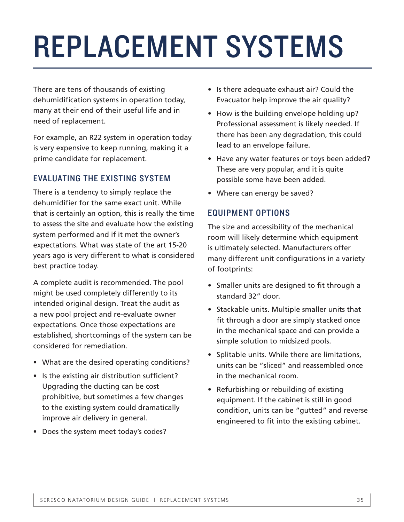## REPLACEMENT SYSTEMS

There are tens of thousands of existing dehumidification systems in operation today, many at their end of their useful life and in need of replacement.

For example, an R22 system in operation today is very expensive to keep running, making it a prime candidate for replacement.

#### EVALUATING THE EXISTING SYSTEM

There is a tendency to simply replace the dehumidifier for the same exact unit. While that is certainly an option, this is really the time to assess the site and evaluate how the existing system performed and if it met the owner's expectations. What was state of the art 15-20 years ago is very different to what is considered best practice today.

A complete audit is recommended. The pool might be used completely differently to its intended original design. Treat the audit as a new pool project and re-evaluate owner expectations. Once those expectations are established, shortcomings of the system can be considered for remediation.

- What are the desired operating conditions?
- Is the existing air distribution sufficient? Upgrading the ducting can be cost prohibitive, but sometimes a few changes to the existing system could dramatically improve air delivery in general.
- Does the system meet today's codes?
- Is there adequate exhaust air? Could the Evacuator help improve the air quality?
- How is the building envelope holding up? Professional assessment is likely needed. If there has been any degradation, this could lead to an envelope failure.
- Have any water features or toys been added? These are very popular, and it is quite possible some have been added.
- Where can energy be saved?

#### EQUIPMENT OPTIONS

The size and accessibility of the mechanical room will likely determine which equipment is ultimately selected. Manufacturers offer many different unit configurations in a variety of footprints:

- Smaller units are designed to fit through a standard 32" door.
- Stackable units. Multiple smaller units that fit through a door are simply stacked once in the mechanical space and can provide a simple solution to midsized pools.
- Splitable units. While there are limitations, units can be "sliced" and reassembled once in the mechanical room.
- Refurbishing or rebuilding of existing equipment. If the cabinet is still in good condition, units can be "gutted" and reverse engineered to fit into the existing cabinet.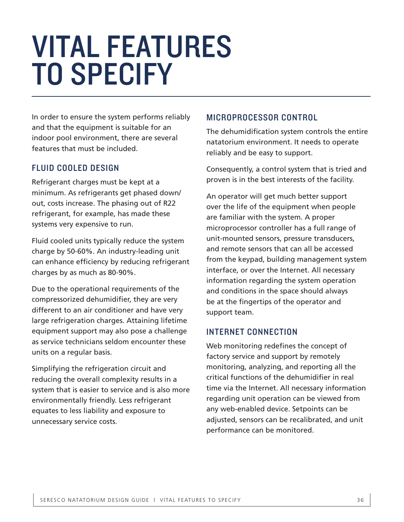## VITAL FEATURES TO SPECIFY

In order to ensure the system performs reliably and that the equipment is suitable for an indoor pool environment, there are several features that must be included.

#### FLUID COOLED DESIGN

Refrigerant charges must be kept at a minimum. As refrigerants get phased down/ out, costs increase. The phasing out of R22 refrigerant, for example, has made these systems very expensive to run.

Fluid cooled units typically reduce the system charge by 50-60%. An industry-leading unit can enhance efficiency by reducing refrigerant charges by as much as 80-90%.

Due to the operational requirements of the compressorized dehumidifier, they are very different to an air conditioner and have very large refrigeration charges. Attaining lifetime equipment support may also pose a challenge as service technicians seldom encounter these units on a regular basis.

Simplifying the refrigeration circuit and reducing the overall complexity results in a system that is easier to service and is also more environmentally friendly. Less refrigerant equates to less liability and exposure to unnecessary service costs.

#### MICROPROCESSOR CONTROL

The dehumidification system controls the entire natatorium environment. It needs to operate reliably and be easy to support.

Consequently, a control system that is tried and proven is in the best interests of the facility.

An operator will get much better support over the life of the equipment when people are familiar with the system. A proper microprocessor controller has a full range of unit-mounted sensors, pressure transducers, and remote sensors that can all be accessed from the keypad, building management system interface, or over the Internet. All necessary information regarding the system operation and conditions in the space should always be at the fingertips of the operator and support team.

#### INTERNET CONNECTION

Web monitoring redefines the concept of factory service and support by remotely monitoring, analyzing, and reporting all the critical functions of the dehumidifier in real time via the Internet. All necessary information regarding unit operation can be viewed from any web-enabled device. Setpoints can be adjusted, sensors can be recalibrated, and unit performance can be monitored.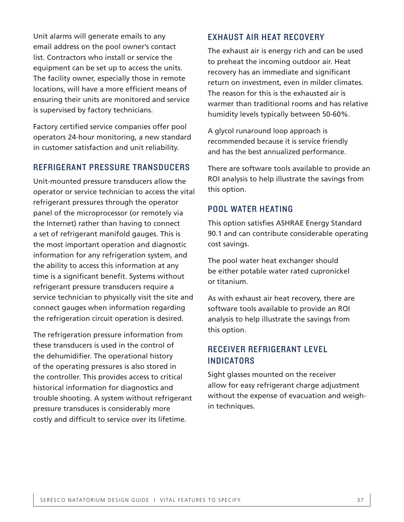Unit alarms will generate emails to any email address on the pool owner's contact list. Contractors who install or service the equipment can be set up to access the units. The facility owner, especially those in remote locations, will have a more efficient means of ensuring their units are monitored and service is supervised by factory technicians.

Factory certified service companies offer pool operators 24-hour monitoring, a new standard in customer satisfaction and unit reliability.

#### REFRIGERANT PRESSURE TRANSDUCERS

Unit-mounted pressure transducers allow the operator or service technician to access the vital refrigerant pressures through the operator panel of the microprocessor (or remotely via the Internet) rather than having to connect a set of refrigerant manifold gauges. This is the most important operation and diagnostic information for any refrigeration system, and the ability to access this information at any time is a significant benefit. Systems without refrigerant pressure transducers require a service technician to physically visit the site and connect gauges when information regarding the refrigeration circuit operation is desired.

The refrigeration pressure information from these transducers is used in the control of the dehumidifier. The operational history of the operating pressures is also stored in the controller. This provides access to critical historical information for diagnostics and trouble shooting. A system without refrigerant pressure transduces is considerably more costly and difficult to service over its lifetime.

#### EXHAUST AIR HEAT RECOVERY

The exhaust air is energy rich and can be used to preheat the incoming outdoor air. Heat recovery has an immediate and significant return on investment, even in milder climates. The reason for this is the exhausted air is warmer than traditional rooms and has relative humidity levels typically between 50-60%.

A glycol runaround loop approach is recommended because it is service friendly and has the best annualized performance.

There are software tools available to provide an ROI analysis to help illustrate the savings from this option.

#### POOL WATER HEATING

This option satisfies ASHRAE Energy Standard 90.1 and can contribute considerable operating cost savings.

The pool water heat exchanger should be either potable water rated cupronickel or titanium.

As with exhaust air heat recovery, there are software tools available to provide an ROI analysis to help illustrate the savings from this option.

#### RECEIVER REFRIGERANT LEVEL INDICATORS

Sight glasses mounted on the receiver allow for easy refrigerant charge adjustment without the expense of evacuation and weighin techniques.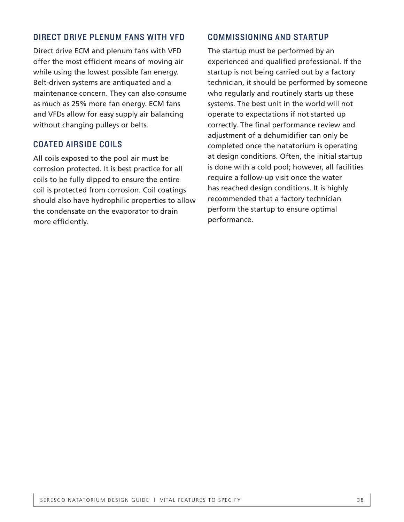#### DIRECT DRIVE PLENUM FANS WITH VFD

Direct drive ECM and plenum fans with VFD offer the most efficient means of moving air while using the lowest possible fan energy. Belt-driven systems are antiquated and a maintenance concern. They can also consume as much as 25% more fan energy. ECM fans and VFDs allow for easy supply air balancing without changing pulleys or belts.

#### COATED AIRSIDE COILS

All coils exposed to the pool air must be corrosion protected. It is best practice for all coils to be fully dipped to ensure the entire coil is protected from corrosion. Coil coatings should also have hydrophilic properties to allow the condensate on the evaporator to drain more efficiently.

#### COMMISSIONING AND STARTUP

The startup must be performed by an experienced and qualified professional. If the startup is not being carried out by a factory technician, it should be performed by someone who regularly and routinely starts up these systems. The best unit in the world will not operate to expectations if not started up correctly. The final performance review and adjustment of a dehumidifier can only be completed once the natatorium is operating at design conditions. Often, the initial startup is done with a cold pool; however, all facilities require a follow-up visit once the water has reached design conditions. It is highly recommended that a factory technician perform the startup to ensure optimal performance.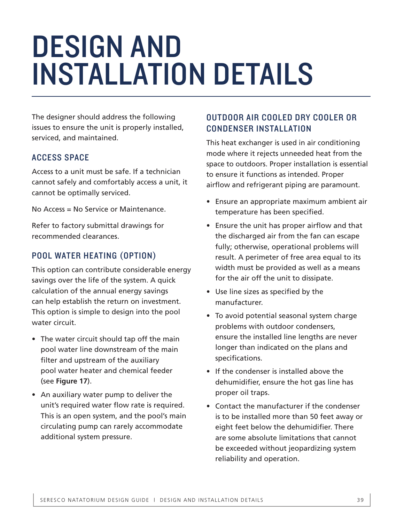## DESIGN AND INSTALLATION DETAILS

The designer should address the following issues to ensure the unit is properly installed, serviced, and maintained.

#### ACCESS SPACE

Access to a unit must be safe. If a technician cannot safely and comfortably access a unit, it cannot be optimally serviced.

No Access = No Service or Maintenance.

Refer to factory submittal drawings for recommended clearances.

#### POOL WATER HEATING (OPTION)

This option can contribute considerable energy savings over the life of the system. A quick calculation of the annual energy savings can help establish the return on investment. This option is simple to design into the pool water circuit.

- The water circuit should tap off the main pool water line downstream of the main filter and upstream of the auxiliary pool water heater and chemical feeder (see **Figure 17**).
- An auxiliary water pump to deliver the unit's required water flow rate is required. This is an open system, and the pool's main circulating pump can rarely accommodate additional system pressure.

#### OUTDOOR AIR COOLED DRY COOLER OR CONDENSER INSTALLATION

This heat exchanger is used in air conditioning mode where it rejects unneeded heat from the space to outdoors. Proper installation is essential to ensure it functions as intended. Proper airflow and refrigerant piping are paramount.

- Ensure an appropriate maximum ambient air temperature has been specified.
- Ensure the unit has proper airflow and that the discharged air from the fan can escape fully; otherwise, operational problems will result. A perimeter of free area equal to its width must be provided as well as a means for the air off the unit to dissipate.
- Use line sizes as specified by the manufacturer.
- To avoid potential seasonal system charge problems with outdoor condensers, ensure the installed line lengths are never longer than indicated on the plans and specifications.
- If the condenser is installed above the dehumidifier, ensure the hot gas line has proper oil traps.
- Contact the manufacturer if the condenser is to be installed more than 50 feet away or eight feet below the dehumidifier. There are some absolute limitations that cannot be exceeded without jeopardizing system reliability and operation.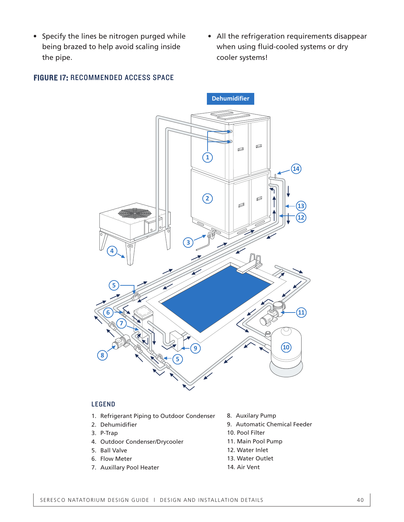- Specify the lines be nitrogen purged while being brazed to help avoid scaling inside the pipe.
- All the refrigeration requirements disappear when using fluid-cooled systems or dry cooler systems!

#### FIGURE 17: RECOMMENDED ACCESS SPACE



#### **LEGEND**

- 1. Refrigerant Piping to Outdoor Condenser
- **1. Profit**<br>Debumidifier **2.** Dehumidifier 2. Dehumidifier
- **3.** P-Trap 3. P-Trap
- **4.** Outdoor Condenser/Drycooler 4. Outdoor Condenser/Drycooler<br>F. B. <sup>II V</sup>. <sup>I</sup>
- 5. Ball Valve
- **6.** Flow Meter
- 7. Auxillary Pool Heater
- 8. Auxilary Pump
- .<br>**8.** Automatic Ch 9. Automatic Chemical Feeder
- **10**. Pool Filter 10. Pool Filter
- **11.** Main Pool Pump 11. Main Pool Pump
- **12.** Water Inlet 12. Water Inlet
- 13. Water Outlet
- 14. Air Vent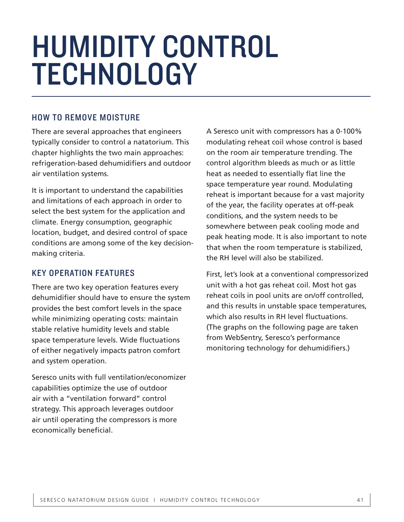## HUMIDITY CONTROL TECHNOLOGY

#### HOW TO REMOVE MOISTURE

There are several approaches that engineers typically consider to control a natatorium. This chapter highlights the two main approaches: refrigeration-based dehumidifiers and outdoor air ventilation systems.

It is important to understand the capabilities and limitations of each approach in order to select the best system for the application and climate. Energy consumption, geographic location, budget, and desired control of space conditions are among some of the key decisionmaking criteria.

#### KEY OPERATION FEATURES

There are two key operation features every dehumidifier should have to ensure the system provides the best comfort levels in the space while minimizing operating costs: maintain stable relative humidity levels and stable space temperature levels. Wide fluctuations of either negatively impacts patron comfort and system operation.

Seresco units with full ventilation/economizer capabilities optimize the use of outdoor air with a "ventilation forward" control strategy. This approach leverages outdoor air until operating the compressors is more economically beneficial.

A Seresco unit with compressors has a 0-100% modulating reheat coil whose control is based on the room air temperature trending. The control algorithm bleeds as much or as little heat as needed to essentially flat line the space temperature year round. Modulating reheat is important because for a vast majority of the year, the facility operates at off-peak conditions, and the system needs to be somewhere between peak cooling mode and peak heating mode. It is also important to note that when the room temperature is stabilized, the RH level will also be stabilized.

First, let's look at a conventional compressorized unit with a hot gas reheat coil. Most hot gas reheat coils in pool units are on/off controlled, and this results in unstable space temperatures, which also results in RH level fluctuations. (The graphs on the following page are taken from WebSentry, Seresco's performance monitoring technology for dehumidifiers.)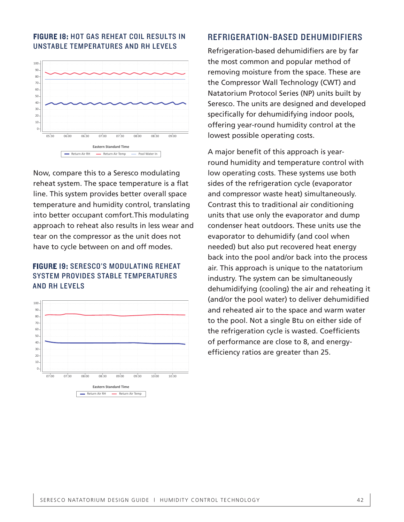

#### FIGURE 18: HOT GAS REHEAT COIL RESULTS IN UNSTABLE TEMPERATURES AND RH LEVELS

Now, compare this to a Seresco modulating reheat system. The space temperature is a flat line. This system provides better overall space temperature and humidity control, translating into better occupant comfort.This modulating approach to reheat also results in less wear and tear on the compressor as the unit does not have to cycle between on and off modes.

#### FIGURE 19: SERESCO'S MODULATING REHEAT SYSTEM PROVIDES STABLE TEMPERATURES AND RH LEVELS



#### REFRIGERATION-BASED DEHUMIDIFIERS

Refrigeration-based dehumidifiers are by far the most common and popular method of removing moisture from the space. These are the Compressor Wall Technology (CWT) and Natatorium Protocol Series (NP) units built by Seresco. The units are designed and developed specifically for dehumidifying indoor pools, offering year-round humidity control at the lowest possible operating costs.

A major benefit of this approach is yearround humidity and temperature control with low operating costs. These systems use both sides of the refrigeration cycle (evaporator and compressor waste heat) simultaneously. Contrast this to traditional air conditioning units that use only the evaporator and dump condenser heat outdoors. These units use the evaporator to dehumidify (and cool when needed) but also put recovered heat energy back into the pool and/or back into the process air. This approach is unique to the natatorium industry. The system can be simultaneously dehumidifying (cooling) the air and reheating it (and/or the pool water) to deliver dehumidified and reheated air to the space and warm water to the pool. Not a single Btu on either side of the refrigeration cycle is wasted. Coefficients of performance are close to 8, and energyefficiency ratios are greater than 25.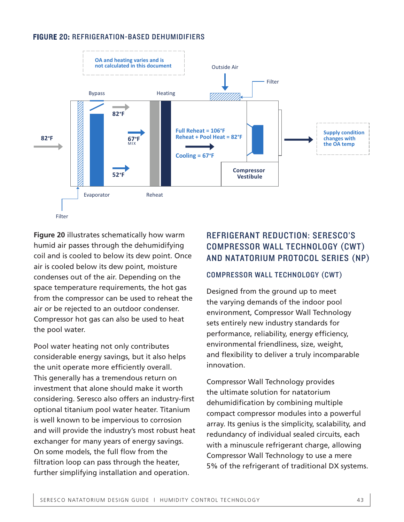#### FIGURE 20: REFRIGERATION-BASED DEHUMIDIFIERS



**Figure 20** illustrates schematically how warm humid air passes through the dehumidifying coil and is cooled to below its dew point. Once air is cooled below its dew point, moisture condenses out of the air. Depending on the space temperature requirements, the hot gas from the compressor can be used to reheat the air or be rejected to an outdoor condenser. Compressor hot gas can also be used to heat the pool water.

Pool water heating not only contributes considerable energy savings, but it also helps the unit operate more efficiently overall. This generally has a tremendous return on investment that alone should make it worth considering. Seresco also offers an industry-first optional titanium pool water heater. Titanium is well known to be impervious to corrosion and will provide the industry's most robust heat exchanger for many years of energy savings. On some models, the full flow from the filtration loop can pass through the heater, further simplifying installation and operation.

#### REFRIGERANT REDUCTION: SERESCO'S COMPRESSOR WALL TECHNOLOGY (CWT) AND NATATORIUM PROTOCOL SERIES (NP)

#### COMPRESSOR WALL TECHNOLOGY (CWT)

Designed from the ground up to meet the varying demands of the indoor pool environment, Compressor Wall Technology sets entirely new industry standards for performance, reliability, energy efficiency, environmental friendliness, size, weight, and flexibility to deliver a truly incomparable innovation.

Compressor Wall Technology provides the ultimate solution for natatorium dehumidification by combining multiple compact compressor modules into a powerful array. Its genius is the simplicity, scalability, and redundancy of individual sealed circuits, each with a minuscule refrigerant charge, allowing Compressor Wall Technology to use a mere 5% of the refrigerant of traditional DX systems.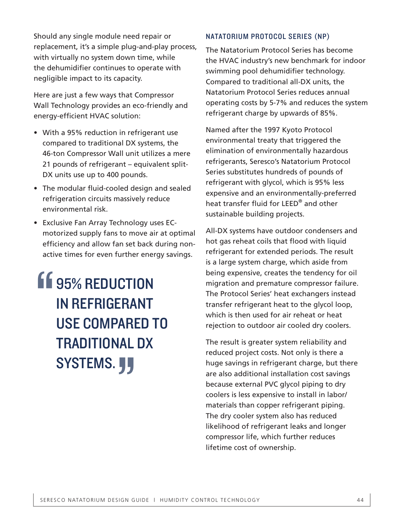Should any single module need repair or replacement, it's a simple plug-and-play process, with virtually no system down time, while the dehumidifier continues to operate with negligible impact to its capacity.

Here are just a few ways that Compressor Wall Technology provides an eco-friendly and energy-efficient HVAC solution:

- With a 95% reduction in refrigerant use compared to traditional DX systems, the 46-ton Compressor Wall unit utilizes a mere 21 pounds of refrigerant – equivalent split-DX units use up to 400 pounds.
- The modular fluid-cooled design and sealed refrigeration circuits massively reduce environmental risk.
- Exclusive Fan Array Technology uses ECmotorized supply fans to move air at optimal efficiency and allow fan set back during nonactive times for even further energy savings.

### **11** 95% REDUCTION IN REFRIGERANT USE COMPARED TO TRADITIONAL DX SYSTEMS. " "<br>"<br>"<br>"

#### NATATORIUM PROTOCOL SERIES (NP)

The Natatorium Protocol Series has become the HVAC industry's new benchmark for indoor swimming pool dehumidifier technology. Compared to traditional all-DX units, the Natatorium Protocol Series reduces annual operating costs by 5-7% and reduces the system refrigerant charge by upwards of 85%.

Named after the 1997 Kyoto Protocol environmental treaty that triggered the elimination of environmentally hazardous refrigerants, Seresco's Natatorium Protocol Series substitutes hundreds of pounds of refrigerant with glycol, which is 95% less expensive and an environmentally-preferred heat transfer fluid for LEED® and other sustainable building projects.

All-DX systems have outdoor condensers and hot gas reheat coils that flood with liquid refrigerant for extended periods. The result is a large system charge, which aside from being expensive, creates the tendency for oil migration and premature compressor failure. The Protocol Series' heat exchangers instead transfer refrigerant heat to the glycol loop, which is then used for air reheat or heat rejection to outdoor air cooled dry coolers.

The result is greater system reliability and reduced project costs. Not only is there a huge savings in refrigerant charge, but there are also additional installation cost savings because external PVC glycol piping to dry coolers is less expensive to install in labor/ materials than copper refrigerant piping. The dry cooler system also has reduced likelihood of refrigerant leaks and longer compressor life, which further reduces lifetime cost of ownership.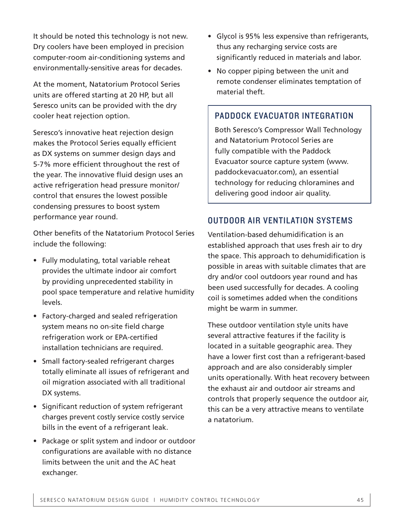It should be noted this technology is not new. Dry coolers have been employed in precision computer-room air-conditioning systems and environmentally-sensitive areas for decades.

At the moment, Natatorium Protocol Series units are offered starting at 20 HP, but all Seresco units can be provided with the dry cooler heat rejection option.

Seresco's innovative heat rejection design makes the Protocol Series equally efficient as DX systems on summer design days and 5-7% more efficient throughout the rest of the year. The innovative fluid design uses an active refrigeration head pressure monitor/ control that ensures the lowest possible condensing pressures to boost system performance year round.

Other benefits of the Natatorium Protocol Series include the following:

- Fully modulating, total variable reheat provides the ultimate indoor air comfort by providing unprecedented stability in pool space temperature and relative humidity levels.
- Factory-charged and sealed refrigeration system means no on-site field charge refrigeration work or EPA-certified installation technicians are required.
- Small factory-sealed refrigerant charges totally eliminate all issues of refrigerant and oil migration associated with all traditional DX systems.
- Significant reduction of system refrigerant charges prevent costly service costly service bills in the event of a refrigerant leak.
- Package or split system and indoor or outdoor configurations are available with no distance limits between the unit and the AC heat exchanger.
- Glycol is 95% less expensive than refrigerants, thus any recharging service costs are significantly reduced in materials and labor.
- No copper piping between the unit and remote condenser eliminates temptation of material theft.

#### PADDOCK EVACUATOR INTEGRATION

Both Seresco's Compressor Wall Technology and Natatorium Protocol Series are fully compatible with the Paddock Evacuator source capture system (www. paddockevacuator.com), an essential technology for reducing chloramines and delivering good indoor air quality.

#### OUTDOOR AIR VENTILATION SYSTEMS

Ventilation-based dehumidification is an established approach that uses fresh air to dry the space. This approach to dehumidification is possible in areas with suitable climates that are dry and/or cool outdoors year round and has been used successfully for decades. A cooling coil is sometimes added when the conditions might be warm in summer.

These outdoor ventilation style units have several attractive features if the facility is located in a suitable geographic area. They have a lower first cost than a refrigerant-based approach and are also considerably simpler units operationally. With heat recovery between the exhaust air and outdoor air streams and controls that properly sequence the outdoor air, this can be a very attractive means to ventilate a natatorium.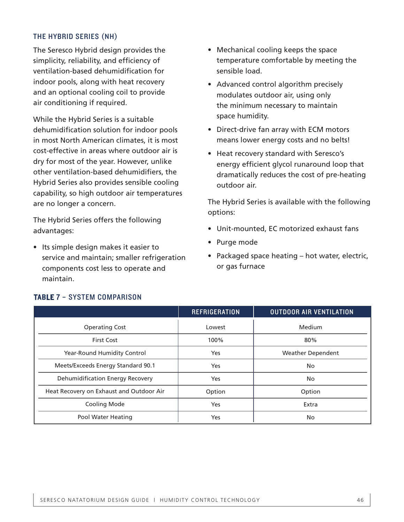#### THE HYBRID SERIES (NH)

The Seresco Hybrid design provides the simplicity, reliability, and efficiency of ventilation-based dehumidification for indoor pools, along with heat recovery and an optional cooling coil to provide air conditioning if required.

While the Hybrid Series is a suitable dehumidification solution for indoor pools in most North American climates, it is most cost-effective in areas where outdoor air is dry for most of the year. However, unlike other ventilation-based dehumidifiers, the Hybrid Series also provides sensible cooling capability, so high outdoor air temperatures are no longer a concern.

The Hybrid Series offers the following advantages:

• Its simple design makes it easier to service and maintain; smaller refrigeration components cost less to operate and maintain.

- Mechanical cooling keeps the space temperature comfortable by meeting the sensible load.
- Advanced control algorithm precisely modulates outdoor air, using only the minimum necessary to maintain space humidity.
- Direct-drive fan array with ECM motors means lower energy costs and no belts!
- Heat recovery standard with Seresco's energy efficient glycol runaround loop that dramatically reduces the cost of pre-heating outdoor air.

The Hybrid Series is available with the following options:

- Unit-mounted, EC motorized exhaust fans
- Purge mode
- Packaged space heating hot water, electric, or gas furnace

|                                          | <b>REFRIGERATION</b> | <b>OUTDOOR AIR VENTILATION</b> |
|------------------------------------------|----------------------|--------------------------------|
| <b>Operating Cost</b>                    | Lowest               | Medium                         |
| <b>First Cost</b>                        | 100%                 | 80%                            |
| Year-Round Humidity Control              | Yes                  | <b>Weather Dependent</b>       |
| Meets/Exceeds Energy Standard 90.1       | Yes                  | No                             |
| Dehumidification Energy Recovery         | Yes                  | No                             |
| Heat Recovery on Exhaust and Outdoor Air | Option               | Option                         |
| Cooling Mode                             | Yes                  | Extra                          |
| Pool Water Heating                       | Yes                  | No.                            |

#### TABLE 7 – SYSTEM COMPARISON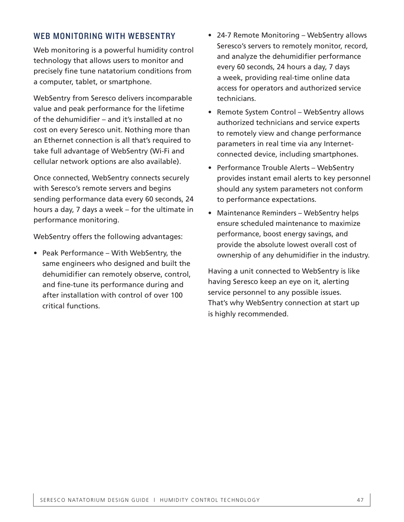#### WEB MONITORING WITH WEBSENTRY

Web monitoring is a powerful humidity control technology that allows users to monitor and precisely fine tune natatorium conditions from a computer, tablet, or smartphone.

WebSentry from Seresco delivers incomparable value and peak performance for the lifetime of the dehumidifier – and it's installed at no cost on every Seresco unit. Nothing more than an Ethernet connection is all that's required to take full advantage of WebSentry (Wi-Fi and cellular network options are also available).

Once connected, WebSentry connects securely with Seresco's remote servers and begins sending performance data every 60 seconds, 24 hours a day, 7 days a week – for the ultimate in performance monitoring.

WebSentry offers the following advantages:

• Peak Performance – With WebSentry, the same engineers who designed and built the dehumidifier can remotely observe, control, and fine-tune its performance during and after installation with control of over 100 critical functions.

- 24-7 Remote Monitoring WebSentry allows Seresco's servers to remotely monitor, record, and analyze the dehumidifier performance every 60 seconds, 24 hours a day, 7 days a week, providing real-time online data access for operators and authorized service technicians.
- Remote System Control WebSentry allows authorized technicians and service experts to remotely view and change performance parameters in real time via any Internetconnected device, including smartphones.
- Performance Trouble Alerts WebSentry provides instant email alerts to key personnel should any system parameters not conform to performance expectations.
- Maintenance Reminders WebSentry helps ensure scheduled maintenance to maximize performance, boost energy savings, and provide the absolute lowest overall cost of ownership of any dehumidifier in the industry.

Having a unit connected to WebSentry is like having Seresco keep an eye on it, alerting service personnel to any possible issues. That's why WebSentry connection at start up is highly recommended.